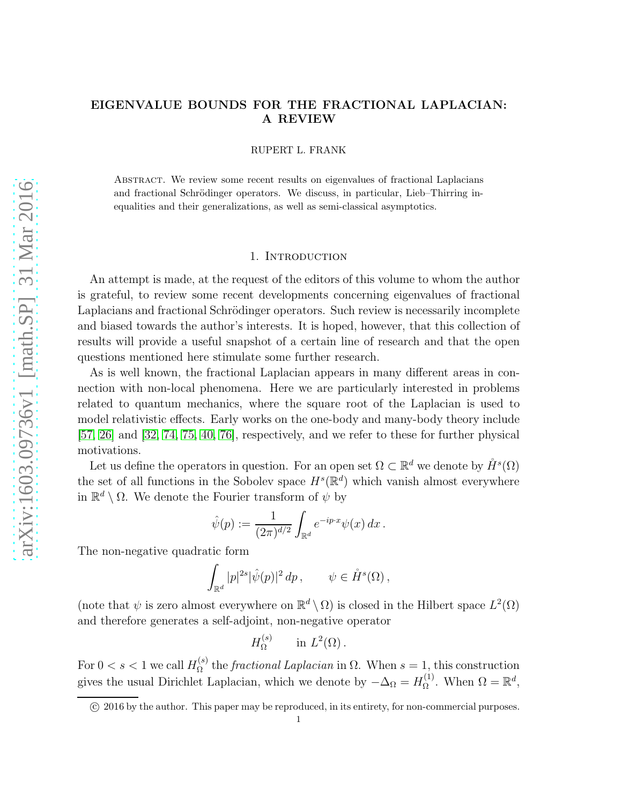# EIGENVALUE BOUNDS FOR THE FRACTIONAL LAPLACIAN: A REVIEW

RUPERT L. FRANK

Abstract. We review some recent results on eigenvalues of fractional Laplacians and fractional Schrödinger operators. We discuss, in particular, Lieb–Thirring inequalities and their generalizations, as well as semi-classical asymptotics.

# 1. INTRODUCTION

An attempt is made, at the request of the editors of this volume to whom the author is grateful, to review some recent developments concerning eigenvalues of fractional Laplacians and fractional Schrödinger operators. Such review is necessarily incomplete and biased towards the author's interests. It is hoped, however, that this collection of results will provide a useful snapshot of a certain line of research and that the open questions mentioned here stimulate some further research.

As is well known, the fractional Laplacian appears in many different areas in connection with non-local phenomena. Here we are particularly interested in problems related to quantum mechanics, where the square root of the Laplacian is used to model relativistic effects. Early works on the one-body and many-body theory include [\[57,](#page-19-0) [26\]](#page-18-0) and [\[32,](#page-18-1) [74,](#page-20-0) [75,](#page-20-1) [40,](#page-18-2) [76\]](#page-20-2), respectively, and we refer to these for further physical motivations.

Let us define the operators in question. For an open set  $\Omega \subset \mathbb{R}^d$  we denote by  $\mathring{H}^s(\Omega)$ the set of all functions in the Sobolev space  $H<sup>s</sup>(\mathbb{R}^d)$  which vanish almost everywhere in  $\mathbb{R}^d \setminus \Omega$ . We denote the Fourier transform of  $\psi$  by

$$
\hat{\psi}(p) := \frac{1}{(2\pi)^{d/2}} \int_{\mathbb{R}^d} e^{-ip \cdot x} \psi(x) \, dx \, .
$$

The non-negative quadratic form

$$
\int_{\mathbb{R}^d} |p|^{2s} |\hat{\psi}(p)|^2 \, dp \,, \qquad \psi \in \mathring{H}^s(\Omega) \,,
$$

(note that  $\psi$  is zero almost everywhere on  $\mathbb{R}^d \setminus \Omega$ ) is closed in the Hilbert space  $L^2(\Omega)$ and therefore generates a self-adjoint, non-negative operator

$$
H_{\Omega}^{(s)} \quad \text{in } L^2(\Omega) \, .
$$

For  $0 < s < 1$  we call  $H_{\Omega}^{(s)}$  $\Omega^{(s)}_{\Omega}$  the *fractional Laplacian* in  $\Omega$ . When  $s = 1$ , this construction gives the usual Dirichlet Laplacian, which we denote by  $-\Delta_{\Omega} = H_{\Omega}^{(1)}$  $\Omega^{(1)}$ . When  $\Omega = \mathbb{R}^d$ ,

c 2016 by the author. This paper may be reproduced, in its entirety, for non-commercial purposes.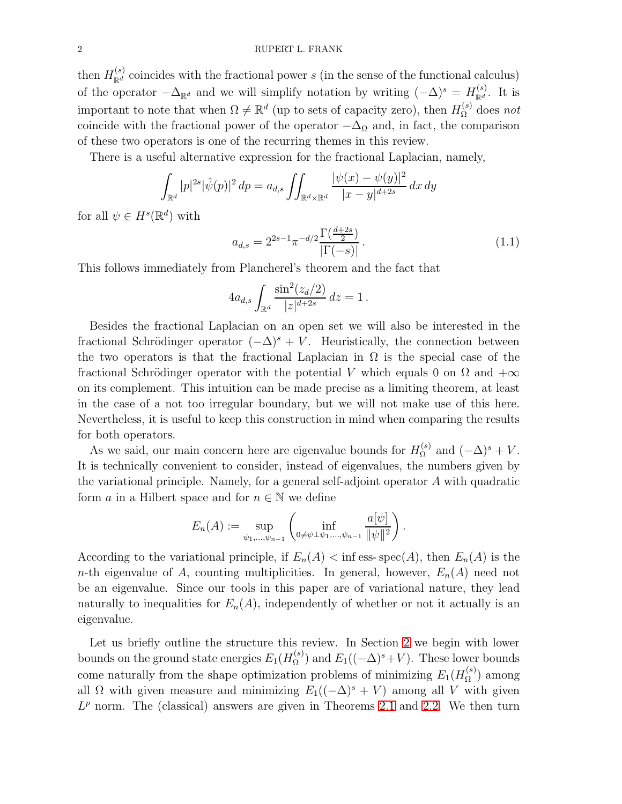then  $H_{\mathbb{R}^d}^{(s)}$  coincides with the fractional power s (in the sense of the functional calculus) of the operator  $-\Delta_{\mathbb{R}^d}$  and we will simplify notation by writing  $(-\Delta)^s = H_{\mathbb{R}^d}^{(s)}$  $\mathbb{R}^{d}$ . It is important to note that when  $\Omega \neq \mathbb{R}^d$  (up to sets of capacity zero), then  $H_{\Omega}^{(s)}$  does not coincide with the fractional power of the operator  $-\Delta_{\Omega}$  and, in fact, the comparison of these two operators is one of the recurring themes in this review.

There is a useful alternative expression for the fractional Laplacian, namely,

$$
\int_{\mathbb{R}^d} |p|^{2s} |\hat{\psi}(p)|^2 dp = a_{d,s} \iint_{\mathbb{R}^d \times \mathbb{R}^d} \frac{|\psi(x) - \psi(y)|^2}{|x - y|^{d+2s}} dx dy
$$

for all  $\psi \in H^s(\mathbb{R}^d)$  with

<span id="page-1-0"></span>
$$
a_{d,s} = 2^{2s-1} \pi^{-d/2} \frac{\Gamma(\frac{d+2s}{2})}{|\Gamma(-s)|}.
$$
\n(1.1)

This follows immediately from Plancherel's theorem and the fact that

$$
4a_{d,s}\int_{\mathbb{R}^d}\frac{\sin^2(z_d/2)}{|z|^{d+2s}}\,dz=1.
$$

Besides the fractional Laplacian on an open set we will also be interested in the fractional Schrödinger operator  $(-\Delta)^s + V$ . Heuristically, the connection between the two operators is that the fractional Laplacian in  $\Omega$  is the special case of the fractional Schrödinger operator with the potential V which equals 0 on  $\Omega$  and  $+\infty$ on its complement. This intuition can be made precise as a limiting theorem, at least in the case of a not too irregular boundary, but we will not make use of this here. Nevertheless, it is useful to keep this construction in mind when comparing the results for both operators.

As we said, our main concern here are eigenvalue bounds for  $H_{\Omega}^{(s)}$  $\Omega^{(s)}$  and  $(-\Delta)^s + V$ . It is technically convenient to consider, instead of eigenvalues, the numbers given by the variational principle. Namely, for a general self-adjoint operator A with quadratic form a in a Hilbert space and for  $n \in \mathbb{N}$  we define

$$
E_n(A) := \sup_{\psi_1, ..., \psi_{n-1}} \left( \inf_{0 \neq \psi \perp \psi_1, ..., \psi_{n-1}} \frac{a[\psi]}{\|\psi\|^2} \right).
$$

According to the variational principle, if  $E_n(A) < \inf \operatorname{ess-spec}(A)$ , then  $E_n(A)$  is the n-th eigenvalue of A, counting multiplicities. In general, however,  $E_n(A)$  need not be an eigenvalue. Since our tools in this paper are of variational nature, they lead naturally to inequalities for  $E_n(A)$ , independently of whether or not it actually is an eigenvalue.

Let us briefly outline the structure this review. In Section [2](#page-2-0) we begin with lower bounds on the ground state energies  $E_1(H_{\Omega}^{(s)})$  $(\Omega^{(s)})$  and  $E_1((-\Delta)^s + V)$ . These lower bounds come naturally from the shape optimization problems of minimizing  $E_1(H_{\Omega}^{(s)})$  $\binom{S}{\Omega}$  among all  $\Omega$  with given measure and minimizing  $E_1((-\Delta)^s + V)$  among all V with given  $L^p$  norm. The (classical) answers are given in Theorems [2.1](#page-2-1) and [2.2.](#page-3-0) We then turn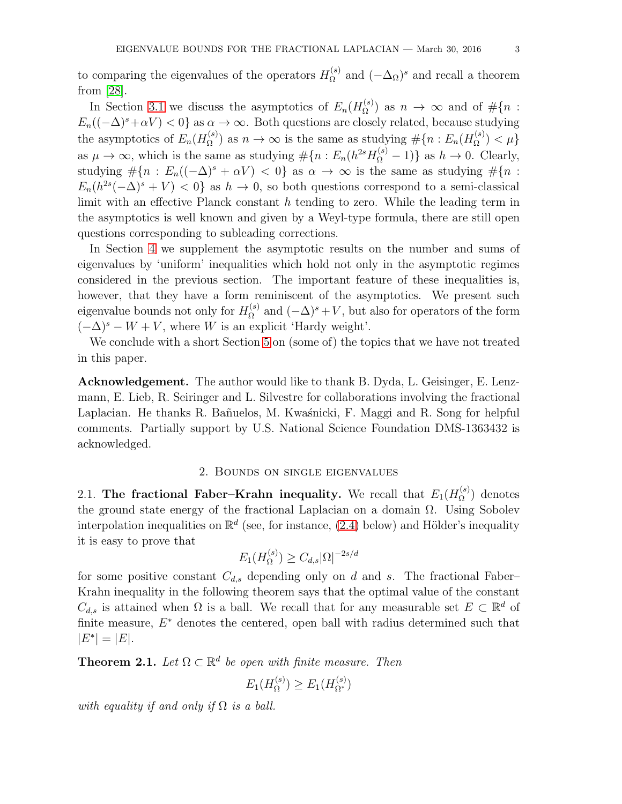to comparing the eigenvalues of the operators  $H_{\Omega}^{(s)}$  $\Omega^{(s)}$  and  $(-\Delta_{\Omega})^s$  and recall a theorem from [\[28\]](#page-18-3).

In Section [3.1](#page-6-0) we discuss the asymptotics of  $E_n(H_{\Omega}^{(s)})$  $\Omega^{(s)}$  as  $n \to \infty$  and of  $\#\{n :$  $E_n((-\Delta)^s + \alpha V) < 0$  as  $\alpha \to \infty$ . Both questions are closely related, because studying the asymptotics of  $E_n(H_{\Omega}^{(s)})$  $\mathcal{L}_{\Omega}^{(s)}$ ) as  $n \to \infty$  is the same as studying  $\#\{n : E_n(H_{\Omega}^{(s)})\}$  $\binom{S}{\Omega}$  >  $\{\mu\}$ as  $\mu \to \infty$ , which is the same as studying  $\# \{ n : E_n(h^{2s}H_{\Omega}^{(s)} - 1) \}$  as  $h \to 0$ . Clearly, studying  $\#\{n : E_n((-\Delta)^s + \alpha V) < 0\}$  as  $\alpha \to \infty$  is the same as studying  $\#\{n : E_n((-\Delta)^s + \alpha V) < 0\}$  $E_n(h^{2s}(-\Delta)^s + V) < 0$  as  $h \to 0$ , so both questions correspond to a semi-classical limit with an effective Planck constant h tending to zero. While the leading term in the asymptotics is well known and given by a Weyl-type formula, there are still open questions corresponding to subleading corrections.

In Section [4](#page-9-0) we supplement the asymptotic results on the number and sums of eigenvalues by 'uniform' inequalities which hold not only in the asymptotic regimes considered in the previous section. The important feature of these inequalities is, however, that they have a form reminiscent of the asymptotics. We present such eigenvalue bounds not only for  $H_{\Omega}^{(s)}$  $\Omega^{(s)}$  and  $(-\Delta)^s + V$ , but also for operators of the form  $(-\Delta)^s - W + V$ , where W is an explicit 'Hardy weight'.

We conclude with a short Section [5](#page-13-0) on (some of) the topics that we have not treated in this paper.

Acknowledgement. The author would like to thank B. Dyda, L. Geisinger, E. Lenzmann, E. Lieb, R. Seiringer and L. Silvestre for collaborations involving the fractional Laplacian. He thanks R. Bañuelos, M. Kwaśnicki, F. Maggi and R. Song for helpful comments. Partially support by U.S. National Science Foundation DMS-1363432 is acknowledged.

# 2. Bounds on single eigenvalues

<span id="page-2-0"></span>2.1. The fractional Faber–Krahn inequality. We recall that  $E_1(H_{\Omega}^{(s)})$  $\binom{S}{\Omega}$  denotes the ground state energy of the fractional Laplacian on a domain  $\Omega$ . Using Sobolev interpolation inequalities on  $\mathbb{R}^d$  (see, for instance, [\(2.4\)](#page-4-0) below) and Hölder's inequality it is easy to prove that

$$
E_1(H_\Omega^{(s)}) \ge C_{d,s} |\Omega|^{-2s/d}
$$

for some positive constant  $C_{d,s}$  depending only on d and s. The fractional Faber– Krahn inequality in the following theorem says that the optimal value of the constant  $C_{d,s}$  is attained when  $\Omega$  is a ball. We recall that for any measurable set  $E \subset \mathbb{R}^d$  of finite measure,  $E^*$  denotes the centered, open ball with radius determined such that  $|E^*| = |E|.$ 

<span id="page-2-1"></span>**Theorem 2.1.** Let  $\Omega \subset \mathbb{R}^d$  be open with finite measure. Then

$$
E_1(H_{\Omega}^{(s)}) \ge E_1(H_{\Omega^*}^{(s)})
$$

with equality if and only if  $\Omega$  is a ball.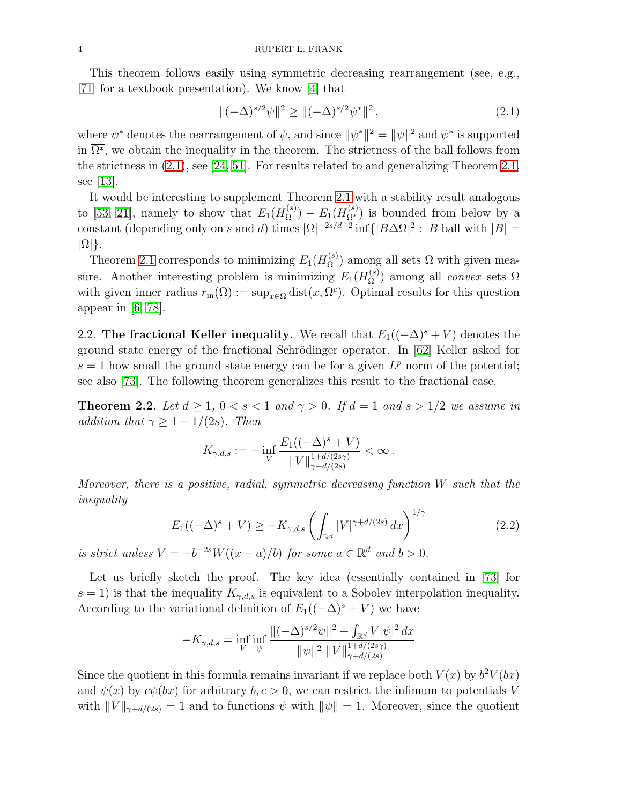This theorem follows easily using symmetric decreasing rearrangement (see, e.g., [\[71\]](#page-20-3) for a textbook presentation). We know [\[4\]](#page-17-0) that

<span id="page-3-1"></span>
$$
\|(-\Delta)^{s/2}\psi\|^2 \ge \|(-\Delta)^{s/2}\psi^*\|^2\,,\tag{2.1}
$$

where  $\psi^*$  denotes the rearrangement of  $\psi$ , and since  $\|\psi^*\|^2 = \|\psi\|^2$  and  $\psi^*$  is supported in  $\overline{\Omega^*}$ , we obtain the inequality in the theorem. The strictness of the ball follows from the strictness in [\(2.1\)](#page-3-1), see [\[24,](#page-18-4) [51\]](#page-19-1). For results related to and generalizing Theorem [2.1,](#page-2-1) see [\[13\]](#page-17-1).

It would be interesting to supplement Theorem [2.1](#page-2-1) with a stability result analogous to [\[53,](#page-19-2) [21\]](#page-17-2), namely to show that  $E_1(H_{\Omega}^{(s)})$  $E_1(B_{\Omega^*}^{(s)})$  is bounded from below by a constant (depending only on s and d) times  $|\Omega|^{-2s/d-2}$  inf $\{|B\Delta\Omega|^2: B$  ball with  $|B|=$  $|\Omega|\}.$ 

Theorem [2.1](#page-2-1) corresponds to minimizing  $E_1(H_{\Omega}^{(s)})$  $\Omega^{(s)}$  among all sets  $\Omega$  with given measure. Another interesting problem is minimizing  $E_1(H_{\Omega}^{(s)})$  $\Omega_{\Omega}^{(s)}$  among all *convex* sets  $\Omega$ with given inner radius  $r_{\text{in}}(\Omega) := \sup_{x \in \Omega} \text{dist}(x, \Omega^c)$ . Optimal results for this question appear in  $[6, 78]$  $[6, 78]$ .

2.2. The fractional Keller inequality. We recall that  $E_1((-\Delta)^s + V)$  denotes the ground state energy of the fractional Schrödinger operator. In  $[62]$  Keller asked for  $s = 1$  how small the ground state energy can be for a given  $L^p$  norm of the potential; see also [\[73\]](#page-20-5). The following theorem generalizes this result to the fractional case.

<span id="page-3-0"></span>**Theorem 2.2.** Let  $d \geq 1$ ,  $0 < s < 1$  and  $\gamma > 0$ . If  $d = 1$  and  $s > 1/2$  we assume in addition that  $\gamma \geq 1 - 1/(2s)$ . Then

$$
K_{\gamma,d,s} := -\inf_{V} \frac{E_1((-\Delta)^s + V)}{\|V\|_{\gamma+d/(2s\gamma)}^{1+d/(2s\gamma)}} < \infty.
$$

Moreover, there is a positive, radial, symmetric decreasing function  $W$  such that the inequality

<span id="page-3-2"></span>
$$
E_1((-\Delta)^s + V) \ge -K_{\gamma,d,s} \left(\int_{\mathbb{R}^d} |V|^{\gamma + d/(2s)} dx\right)^{1/\gamma}
$$
\n(2.2)

is strict unless  $V = -b^{-2s}W((x-a)/b)$  for some  $a \in \mathbb{R}^d$  and  $b > 0$ .

Let us briefly sketch the proof. The key idea (essentially contained in [\[73\]](#page-20-5) for  $s = 1$ ) is that the inequality  $K_{\gamma,d,s}$  is equivalent to a Sobolev interpolation inequality. According to the variational definition of  $E_1((-\Delta)^s + V)$  we have

$$
-K_{\gamma,d,s} = \inf_{V} \inf_{\psi} \frac{\|(-\Delta)^{s/2}\psi\|^2 + \int_{\mathbb{R}^d} V |\psi|^2 dx}{\|\psi\|^2 \|V\|_{\gamma+d/(2s)}^{1+d/(2s\gamma)}}
$$

Since the quotient in this formula remains invariant if we replace both  $V(x)$  by  $b^2V(bx)$ and  $\psi(x)$  by  $c\psi(bx)$  for arbitrary  $b, c > 0$ , we can restrict the infimum to potentials V with  $||V||_{\gamma+d/(2s)} = 1$  and to functions  $\psi$  with  $||\psi|| = 1$ . Moreover, since the quotient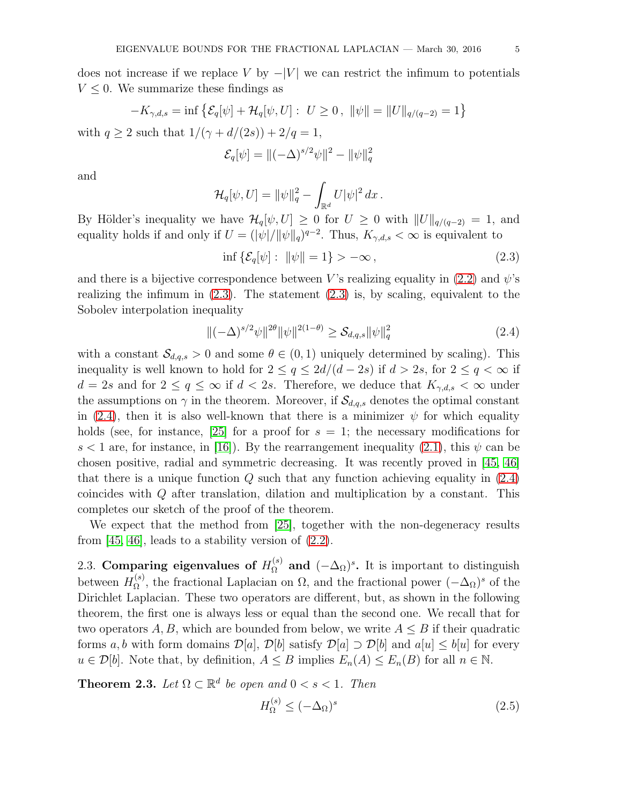does not increase if we replace V by  $-|V|$  we can restrict the infimum to potentials  $V \leq 0$ . We summarize these findings as

$$
-K_{\gamma,d,s} = \inf \{ \mathcal{E}_q[\psi] + \mathcal{H}_q[\psi, U] : U \ge 0, \ \|\psi\| = \|U\|_{q/(q-2)} = 1 \}
$$
  
with  $q \ge 2$  such that  $1/(\gamma + d/(2s)) + 2/q = 1$ ,

$$
\mathcal{E}_q[\psi] = ||(-\Delta)^{s/2}\psi||^2 - ||\psi||_q^2
$$

and

$$
\mathcal{H}_q[\psi, U] = ||\psi||_q^2 - \int_{\mathbb{R}^d} U |\psi|^2 dx.
$$

By Hölder's inequality we have  $\mathcal{H}_q[\psi, U] \geq 0$  for  $U \geq 0$  with  $||U||_{q/(q-2)} = 1$ , and equality holds if and only if  $U = (|\psi|/||\psi||_q)^{q-2}$ . Thus,  $K_{\gamma,d,s} < \infty$  is equivalent to

<span id="page-4-1"></span>
$$
\inf \{ \mathcal{E}_q[\psi] : \ \|\psi\| = 1 \} > -\infty \,, \tag{2.3}
$$

and there is a bijective correspondence between V's realizing equality in [\(2.2\)](#page-3-2) and  $\psi$ 's realizing the infimum in  $(2.3)$ . The statement  $(2.3)$  is, by scaling, equivalent to the Sobolev interpolation inequality

<span id="page-4-0"></span>
$$
\|(-\Delta)^{s/2}\psi\|^{2\theta}\|\psi\|^{2(1-\theta)} \ge \mathcal{S}_{d,q,s}\|\psi\|_{q}^{2}
$$
\n(2.4)

with a constant  $\mathcal{S}_{d,q,s} > 0$  and some  $\theta \in (0,1)$  uniquely determined by scaling). This inequality is well known to hold for  $2 \le q \le 2d/(d-2s)$  if  $d > 2s$ , for  $2 \le q < \infty$  if  $d = 2s$  and for  $2 \le q \le \infty$  if  $d < 2s$ . Therefore, we deduce that  $K_{\gamma,d,s} < \infty$  under the assumptions on  $\gamma$  in the theorem. Moreover, if  $\mathcal{S}_{d,q,s}$  denotes the optimal constant in [\(2.4\)](#page-4-0), then it is also well-known that there is a minimizer  $\psi$  for which equality holds (see, for instance, [\[25\]](#page-18-5) for a proof for  $s = 1$ ; the necessary modifications for s < 1 are, for instance, in [\[16\]](#page-17-4)). By the rearrangement inequality [\(2.1\)](#page-3-1), this  $\psi$  can be chosen positive, radial and symmetric decreasing. It was recently proved in [\[45,](#page-18-6) [46\]](#page-19-4) that there is a unique function  $Q$  such that any function achieving equality in  $(2.4)$ coincides with Q after translation, dilation and multiplication by a constant. This completes our sketch of the proof of the theorem.

We expect that the method from [\[25\]](#page-18-5), together with the non-degeneracy results from  $[45, 46]$  $[45, 46]$ , leads to a stability version of  $(2.2)$ .

2.3. Comparing eigenvalues of  $H_{\Omega}^{(s)}$  and  $(-\Delta_{\Omega})^s$ . It is important to distinguish between  $H_{\Omega}^{(s)}$  $\Omega^{(s)}$ , the fractional Laplacian on  $\Omega$ , and the fractional power  $(-\Delta_{\Omega})^s$  of the Dirichlet Laplacian. These two operators are different, but, as shown in the following theorem, the first one is always less or equal than the second one. We recall that for two operators A, B, which are bounded from below, we write  $A \leq B$  if their quadratic forms a, b with form domains  $\mathcal{D}[a], \mathcal{D}[b]$  satisfy  $\mathcal{D}[a] \supset \mathcal{D}[b]$  and  $a[u] \leq b[u]$  for every  $u \in \mathcal{D}[b]$ . Note that, by definition,  $A \leq B$  implies  $E_n(A) \leq E_n(B)$  for all  $n \in \mathbb{N}$ .

<span id="page-4-2"></span>**Theorem 2.3.** Let  $\Omega \subset \mathbb{R}^d$  be open and  $0 < s < 1$ . Then

<span id="page-4-3"></span>
$$
H_{\Omega}^{(s)} \le (-\Delta_{\Omega})^s \tag{2.5}
$$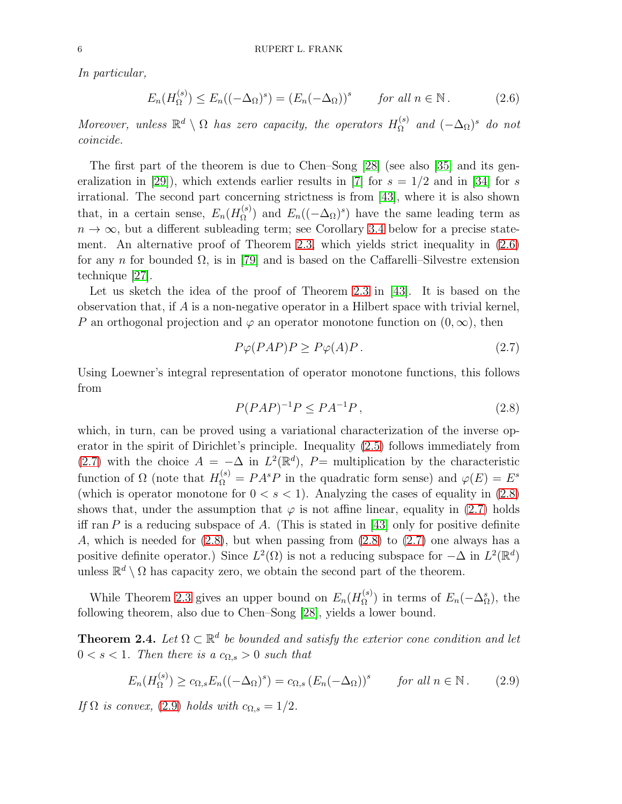In particular,

<span id="page-5-0"></span>
$$
E_n(H_{\Omega}^{(s)}) \le E_n((-\Delta_{\Omega})^s) = (E_n(-\Delta_{\Omega}))^s \quad \text{for all } n \in \mathbb{N}.
$$
 (2.6)

Moreover, unless  $\mathbb{R}^d \setminus \Omega$  has zero capacity, the operators  $H_{\Omega}^{(s)}$  $\Omega^{(s)}$  and  $(-\Delta_{\Omega})^s$  do not coincide.

The first part of the theorem is due to Chen–Song [\[28\]](#page-18-3) (see also [\[35\]](#page-18-7) and its gen-eralization in [\[29\]](#page-18-8)), which extends earlier results in [\[7\]](#page-17-5) for  $s = 1/2$  and in [\[34\]](#page-18-9) for s irrational. The second part concerning strictness is from [\[43\]](#page-18-10), where it is also shown that, in a certain sense,  $E_n(H_{\Omega}^{(s)})$  $E_n((-\Delta_{\Omega})^s)$  have the same leading term as  $n \to \infty$ , but a different subleading term; see Corollary [3.4](#page-8-0) below for a precise statement. An alternative proof of Theorem [2.3,](#page-4-2) which yields strict inequality in [\(2.6\)](#page-5-0) for any n for bounded  $\Omega$ , is in [\[79\]](#page-20-6) and is based on the Caffarelli–Silvestre extension technique [\[27\]](#page-18-11).

Let us sketch the idea of the proof of Theorem [2.3](#page-4-2) in [\[43\]](#page-18-10). It is based on the observation that, if A is a non-negative operator in a Hilbert space with trivial kernel, P an orthogonal projection and  $\varphi$  an operator monotone function on  $(0, \infty)$ , then

<span id="page-5-1"></span>
$$
P\varphi(PAP)P \ge P\varphi(A)P. \tag{2.7}
$$

Using Loewner's integral representation of operator monotone functions, this follows from

<span id="page-5-2"></span>
$$
P(PAP)^{-1}P \le PA^{-1}P\,,\tag{2.8}
$$

which, in turn, can be proved using a variational characterization of the inverse operator in the spirit of Dirichlet's principle. Inequality [\(2.5\)](#page-4-3) follows immediately from [\(2.7\)](#page-5-1) with the choice  $A = -\Delta$  in  $L^2(\mathbb{R}^d)$ ,  $P=$  multiplication by the characteristic function of  $\Omega$  (note that  $H_{\Omega}^{(s)} = P A^s P$  in the quadratic form sense) and  $\varphi(E) = E^s$ (which is operator monotone for  $0 < s < 1$ ). Analyzing the cases of equality in [\(2.8\)](#page-5-2) shows that, under the assumption that  $\varphi$  is not affine linear, equality in [\(2.7\)](#page-5-1) holds iff ran P is a reducing subspace of A. (This is stated in [\[43\]](#page-18-10) only for positive definite A, which is needed for  $(2.8)$ , but when passing from  $(2.8)$  to  $(2.7)$  one always has a positive definite operator.) Since  $L^2(\Omega)$  is not a reducing subspace for  $-\Delta$  in  $L^2(\mathbb{R}^d)$ unless  $\mathbb{R}^d \setminus \Omega$  has capacity zero, we obtain the second part of the theorem.

While Theorem [2.3](#page-4-2) gives an upper bound on  $E_n(H_{\Omega}^{(s)})$  $\Omega^{(s)}$ ) in terms of  $E_n(-\Delta_{\Omega}^s)$ , the following theorem, also due to Chen–Song [\[28\]](#page-18-3), yields a lower bound.

<span id="page-5-4"></span>**Theorem 2.4.** Let  $\Omega \subset \mathbb{R}^d$  be bounded and satisfy the exterior cone condition and let  $0 < s < 1$ . Then there is a  $c_{\Omega,s} > 0$  such that

<span id="page-5-3"></span>
$$
E_n(H_{\Omega}^{(s)}) \ge c_{\Omega,s} E_n((-\Delta_{\Omega})^s) = c_{\Omega,s} \left( E_n(-\Delta_{\Omega}) \right)^s \quad \text{for all } n \in \mathbb{N}. \tag{2.9}
$$

If  $\Omega$  is convex, [\(2.9\)](#page-5-3) holds with  $c_{\Omega,s} = 1/2$ .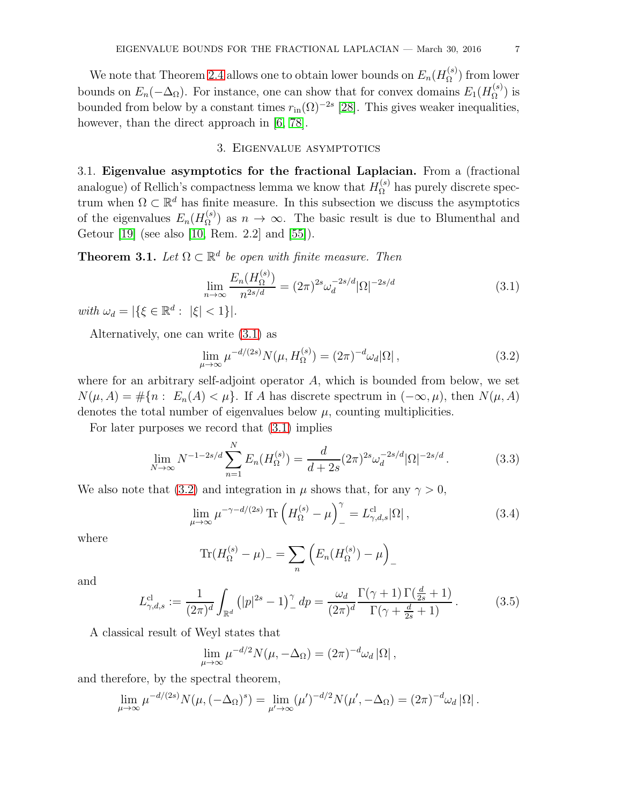We note that Theorem [2.4](#page-5-4) allows one to obtain lower bounds on  $E_n(H_{\Omega}^{(s)})$  $\Omega^{(s)}$  from lower bounds on  $E_n(-\Delta_{\Omega})$ . For instance, one can show that for convex domains  $E_1(H_{\Omega}^{(s)})$  $\mathbf{S}_{\Omega}^{(s)}$ ) is bounded from below by a constant times  $r_{\text{in}}(\Omega)^{-2s}$  [\[28\]](#page-18-3). This gives weaker inequalities, however, than the direct approach in [\[6,](#page-17-3) [78\]](#page-20-4).

# 3. Eigenvalue asymptotics

<span id="page-6-0"></span>3.1. Eigenvalue asymptotics for the fractional Laplacian. From a (fractional analogue) of Rellich's compactness lemma we know that  $H_{\Omega}^{(s)}$  has purely discrete spectrum when  $\Omega \subset \mathbb{R}^d$  has finite measure. In this subsection we discuss the asymptotics of the eigenvalues  $E_n(H_{\Omega}^{(s)})$  $\Omega^{(8)}$  as  $n \to \infty$ . The basic result is due to Blumenthal and Getour [\[19\]](#page-17-6) (see also [\[10,](#page-17-7) Rem. 2.2] and [\[55\]](#page-19-5)).

<span id="page-6-3"></span>**Theorem 3.1.** Let  $\Omega \subset \mathbb{R}^d$  be open with finite measure. Then

<span id="page-6-1"></span>
$$
\lim_{n \to \infty} \frac{E_n(H_\Omega^{(s)})}{n^{2s/d}} = (2\pi)^{2s} \omega_d^{-2s/d} |\Omega|^{-2s/d} \tag{3.1}
$$

with  $\omega_d = |\{\xi \in \mathbb{R}^d : |\xi| < 1\}|.$ 

Alternatively, one can write [\(3.1\)](#page-6-1) as

<span id="page-6-2"></span>
$$
\lim_{\mu \to \infty} \mu^{-d/(2s)} N(\mu, H_{\Omega}^{(s)}) = (2\pi)^{-d} \omega_d |\Omega| ,
$$
\n(3.2)

where for an arbitrary self-adjoint operator  $A$ , which is bounded from below, we set  $N(\mu, A) = \#\{n : E_n(A) < \mu\}.$  If A has discrete spectrum in  $(-\infty, \mu)$ , then  $N(\mu, A)$ denotes the total number of eigenvalues below  $\mu$ , counting multiplicities.

For later purposes we record that [\(3.1\)](#page-6-1) implies

<span id="page-6-4"></span>
$$
\lim_{N \to \infty} N^{-1-2s/d} \sum_{n=1}^{N} E_n(H_{\Omega}^{(s)}) = \frac{d}{d+2s} (2\pi)^{2s} \omega_d^{-2s/d} |\Omega|^{-2s/d}.
$$
 (3.3)

We also note that [\(3.2\)](#page-6-2) and integration in  $\mu$  shows that, for any  $\gamma > 0$ ,

<span id="page-6-5"></span>
$$
\lim_{\mu \to \infty} \mu^{-\gamma - d/(2s)} \operatorname{Tr} \left( H_{\Omega}^{(s)} - \mu \right)_{-}^{\gamma} = L_{\gamma, d, s}^{\mathrm{cl}} |\Omega| \,, \tag{3.4}
$$

where

$$
\text{Tr}(H_{\Omega}^{(s)} - \mu)_{-} = \sum_{n} \left( E_n(H_{\Omega}^{(s)}) - \mu \right)_{-}
$$

and

<span id="page-6-6"></span>
$$
L_{\gamma,d,s}^{\rm cl} := \frac{1}{(2\pi)^d} \int_{\mathbb{R}^d} \left( |p|^{2s} - 1 \right)^{\gamma} dp = \frac{\omega_d}{(2\pi)^d} \frac{\Gamma(\gamma + 1) \Gamma(\frac{d}{2s} + 1)}{\Gamma(\gamma + \frac{d}{2s} + 1)}.
$$
 (3.5)

A classical result of Weyl states that

$$
\lim_{\mu \to \infty} \mu^{-d/2} N(\mu, -\Delta_{\Omega}) = (2\pi)^{-d} \omega_d |\Omega|,
$$

and therefore, by the spectral theorem,

$$
\lim_{\mu \to \infty} \mu^{-d/(2s)} N(\mu, (-\Delta_{\Omega})^s) = \lim_{\mu' \to \infty} (\mu')^{-d/2} N(\mu', -\Delta_{\Omega}) = (2\pi)^{-d} \omega_d |\Omega|.
$$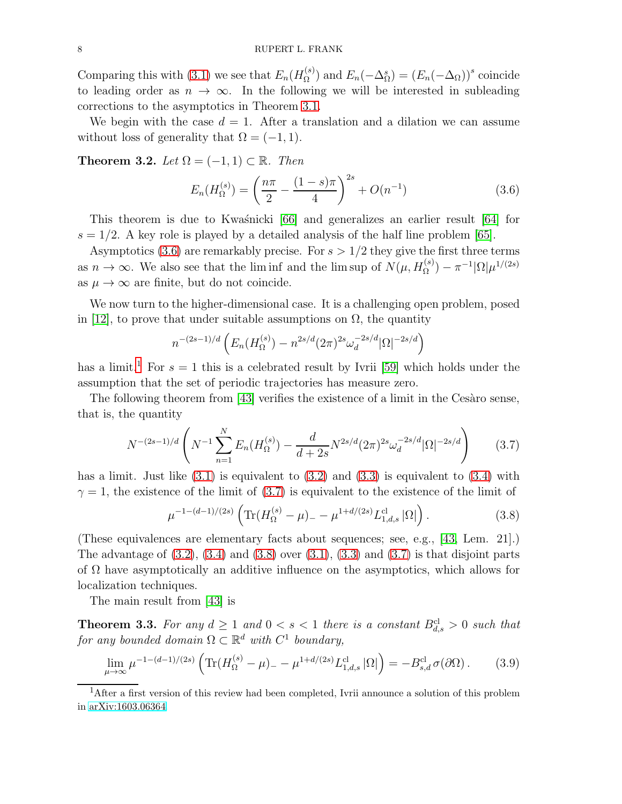Comparing this with [\(3.1\)](#page-6-1) we see that  $E_n(H_{\Omega}^{(s)})$  $\binom{s}{\Omega}$  and  $E_n(-\Delta_{\Omega}^s) = (E_n(-\Delta_{\Omega}))^s$  coincide to leading order as  $n \to \infty$ . In the following we will be interested in subleading corrections to the asymptotics in Theorem [3.1.](#page-6-3)

We begin with the case  $d = 1$ . After a translation and a dilation we can assume without loss of generality that  $\Omega = (-1, 1)$ .

Theorem 3.2. Let  $\Omega = (-1, 1) \subset \mathbb{R}$ . Then

<span id="page-7-0"></span>
$$
E_n(H_{\Omega}^{(s)}) = \left(\frac{n\pi}{2} - \frac{(1-s)\pi}{4}\right)^{2s} + O(n^{-1})
$$
\n(3.6)

This theorem is due to Kwaśnicki  $[66]$  and generalizes an earlier result  $[64]$  for  $s = 1/2$ . A key role is played by a detailed analysis of the half line problem [\[65\]](#page-19-8).

Asymptotics [\(3.6\)](#page-7-0) are remarkably precise. For  $s > 1/2$  they give the first three terms as  $n \to \infty$ . We also see that the liminf and the limit sup of  $N(\mu, H_{\Omega}^{(s)}) - \pi^{-1} |\Omega| \mu^{1/(2s)}$ as  $\mu \to \infty$  are finite, but do not coincide.

We now turn to the higher-dimensional case. It is a challenging open problem, posed in [\[12\]](#page-17-8), to prove that under suitable assumptions on  $\Omega$ , the quantity

$$
n^{-(2s-1)/d} \left( E_n(H_{\Omega}^{(s)}) - n^{2s/d} (2\pi)^{2s} \omega_d^{-2s/d} |\Omega|^{-2s/d} \right)
$$

has a limit.<sup>[1](#page-7-1)</sup> For  $s = 1$  this is a celebrated result by Ivrii [\[59\]](#page-19-9) which holds under the assumption that the set of periodic trajectories has measure zero.

The following theorem from  $[43]$  verifies the existence of a limit in the Cesaro sense, that is, the quantity

<span id="page-7-2"></span>
$$
N^{-(2s-1)/d} \left( N^{-1} \sum_{n=1}^{N} E_n(H_{\Omega}^{(s)}) - \frac{d}{d+2s} N^{2s/d} (2\pi)^{2s} \omega_d^{-2s/d} |\Omega|^{-2s/d} \right) \tag{3.7}
$$

has a limit. Just like  $(3.1)$  is equivalent to  $(3.2)$  and  $(3.3)$  is equivalent to  $(3.4)$  with  $\gamma = 1$ , the existence of the limit of [\(3.7\)](#page-7-2) is equivalent to the existence of the limit of

<span id="page-7-3"></span>
$$
\mu^{-1-(d-1)/(2s)} \left( \text{Tr}(H_{\Omega}^{(s)} - \mu)_{-} - \mu^{1+d/(2s)} L_{1,d,s}^{\text{cl}} |\Omega| \right). \tag{3.8}
$$

(These equivalences are elementary facts about sequences; see, e.g., [\[43,](#page-18-10) Lem. 21].) The advantage of  $(3.2)$ ,  $(3.4)$  and  $(3.8)$  over  $(3.1)$ ,  $(3.3)$  and  $(3.7)$  is that disjoint parts of  $\Omega$  have asymptotically an additive influence on the asymptotics, which allows for localization techniques.

The main result from [\[43\]](#page-18-10) is

**Theorem 3.3.** For any  $d \geq 1$  and  $0 < s < 1$  there is a constant  $B_{d,s}^{cl} > 0$  such that for any bounded domain  $\Omega \subset \mathbb{R}^d$  with  $C^1$  boundary,

$$
\lim_{\mu \to \infty} \mu^{-1 - (d-1)/(2s)} \left( \text{Tr}(H_{\Omega}^{(s)} - \mu) - \mu^{1 + d/(2s)} L_{1,d,s}^{\text{cl}} |\Omega| \right) = -B_{s,d}^{\text{cl}} \sigma(\partial \Omega). \tag{3.9}
$$

<span id="page-7-1"></span><sup>&</sup>lt;sup>1</sup>After a first version of this review had been completed, Ivrii announce a solution of this problem in [arXiv:1603.06364.](http://arxiv.org/abs/1603.06364)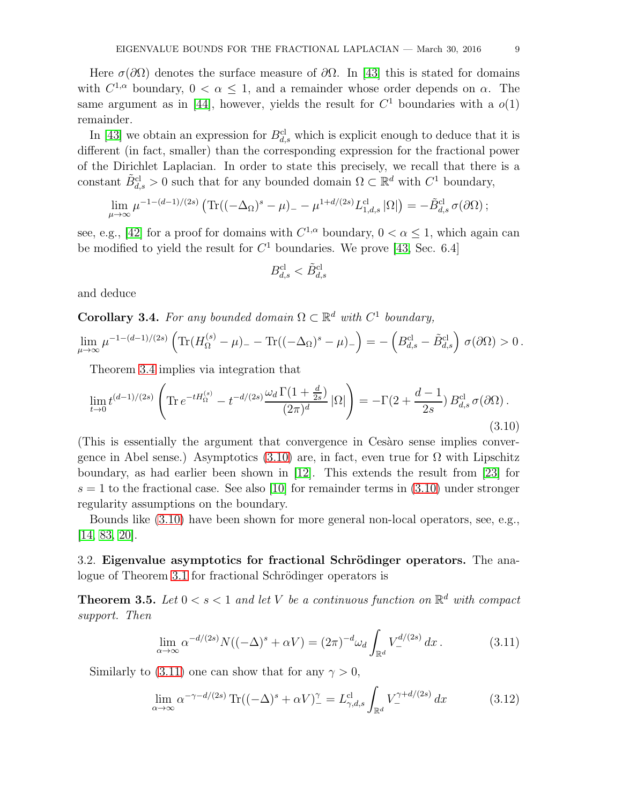Here  $\sigma(\partial\Omega)$  denotes the surface measure of  $\partial\Omega$ . In [\[43\]](#page-18-10) this is stated for domains with  $C^{1,\alpha}$  boundary,  $0 < \alpha \leq 1$ , and a remainder whose order depends on  $\alpha$ . The same argument as in [\[44\]](#page-18-12), however, yields the result for  $C<sup>1</sup>$  boundaries with a  $o(1)$ remainder.

In [\[43\]](#page-18-10) we obtain an expression for  $B_{d,s}^{cl}$  which is explicit enough to deduce that it is different (in fact, smaller) than the corresponding expression for the fractional power of the Dirichlet Laplacian. In order to state this precisely, we recall that there is a constant  $\tilde{B}_{d,s}^{cl} > 0$  such that for any bounded domain  $\Omega \subset \mathbb{R}^d$  with  $C^1$  boundary,

$$
\lim_{\mu \to \infty} \mu^{-1 - (d-1)/(2s)} \left( \text{Tr}((-\Delta_{\Omega})^s - \mu) - \mu^{1 + d/(2s)} L_{1,d,s}^{\text{cl}} |\Omega| \right) = -\tilde{B}_{d,s}^{\text{cl}} \sigma(\partial \Omega) ;
$$

see, e.g., [\[42\]](#page-18-13) for a proof for domains with  $C^{1,\alpha}$  boundary,  $0 < \alpha \le 1$ , which again can be modified to yield the result for  $C<sup>1</sup>$  boundaries. We prove [\[43,](#page-18-10) Sec. 6.4]

$$
B^{\rm cl}_{d,s} < \tilde{B}^{\rm cl}_{d,s}
$$

and deduce

<span id="page-8-0"></span>**Corollary 3.4.** For any bounded domain  $\Omega \subset \mathbb{R}^d$  with  $C^1$  boundary,

$$
\lim_{\mu \to \infty} \mu^{-1 - (d-1)/(2s)} \left( \text{Tr}(H_{\Omega}^{(s)} - \mu) - \text{Tr}((-\Delta_{\Omega})^s - \mu) \right) = -\left( B_{d,s}^{\text{cl}} - \tilde{B}_{d,s}^{\text{cl}} \right) \sigma(\partial \Omega) > 0.
$$

Theorem [3.4](#page-8-0) implies via integration that

<span id="page-8-1"></span>
$$
\lim_{t \to 0} t^{(d-1)/(2s)} \left( \text{Tr} \, e^{-t H_{\Omega}^{(s)}} - t^{-d/(2s)} \frac{\omega_d \Gamma(1 + \frac{d}{2s})}{(2\pi)^d} |\Omega| \right) = -\Gamma(2 + \frac{d-1}{2s}) B_{d,s}^{\text{cl}} \sigma(\partial \Omega) \,. \tag{3.10}
$$

(This is essentially the argument that convergence in Cesaro sense implies conver-gence in Abel sense.) Asymptotics [\(3.10\)](#page-8-1) are, in fact, even true for  $\Omega$  with Lipschitz boundary, as had earlier been shown in [\[12\]](#page-17-8). This extends the result from [\[23\]](#page-17-9) for  $s = 1$  to the fractional case. See also [\[10\]](#page-17-7) for remainder terms in [\(3.10\)](#page-8-1) under stronger regularity assumptions on the boundary.

Bounds like [\(3.10\)](#page-8-1) have been shown for more general non-local operators, see, e.g., [\[14,](#page-17-10) [83,](#page-20-7) [20\]](#page-17-11).

3.2. Eigenvalue asymptotics for fractional Schrödinger operators. The ana-logue of Theorem [3.1](#page-6-3) for fractional Schrödinger operators is

<span id="page-8-4"></span>**Theorem 3.5.** Let  $0 < s < 1$  and let V be a continuous function on  $\mathbb{R}^d$  with compact support. Then

<span id="page-8-2"></span>
$$
\lim_{\alpha \to \infty} \alpha^{-d/(2s)} N((-\Delta)^s + \alpha V) = (2\pi)^{-d} \omega_d \int_{\mathbb{R}^d} V_{-}^{d/(2s)} dx.
$$
 (3.11)

Similarly to [\(3.11\)](#page-8-2) one can show that for any  $\gamma > 0$ ,

<span id="page-8-3"></span>
$$
\lim_{\alpha \to \infty} \alpha^{-\gamma - d/(2s)} \operatorname{Tr}((-\Delta)^s + \alpha V)^{\gamma}_{-} = L^{\mathrm{cl}}_{\gamma, d, s} \int_{\mathbb{R}^d} V_{-}^{\gamma + d/(2s)} dx \tag{3.12}
$$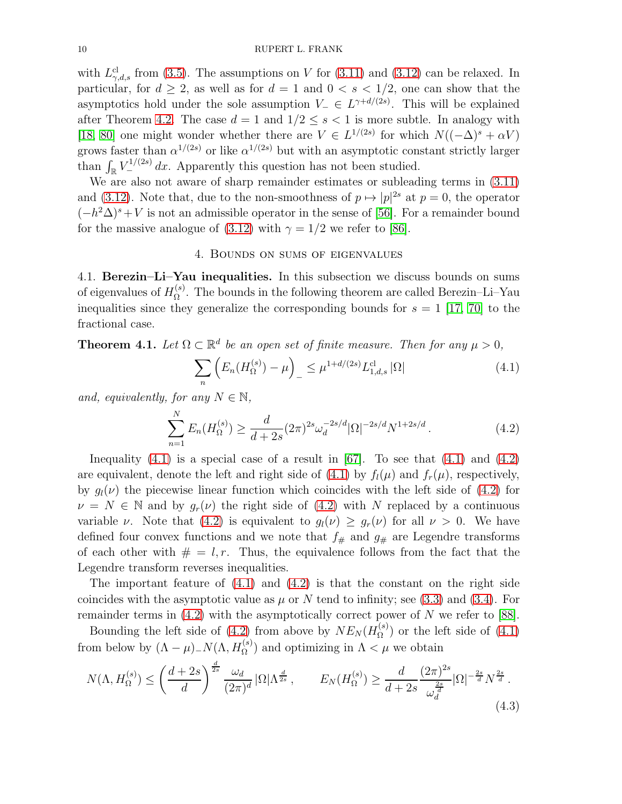with  $L_{\gamma,d,s}^{cl}$  from [\(3.5\)](#page-6-6). The assumptions on V for [\(3.11\)](#page-8-2) and [\(3.12\)](#page-8-3) can be relaxed. In particular, for  $d \geq 2$ , as well as for  $d = 1$  and  $0 < s < 1/2$ , one can show that the asymptotics hold under the sole assumption  $V_-\in L^{\gamma+d/(2s)}$ . This will be explained after Theorem [4.2.](#page-10-0) The case  $d = 1$  and  $1/2 \leq s < 1$  is more subtle. In analogy with [\[18,](#page-17-12) [80\]](#page-20-8) one might wonder whether there are  $V \in L^{1/(2s)}$  for which  $N((-\Delta)^s + \alpha V)$ grows faster than  $\alpha^{1/(2s)}$  or like  $\alpha^{1/(2s)}$  but with an asymptotic constant strictly larger than  $\int_{\mathbb{R}} V_{-}^{1/(2s)} dx$ . Apparently this question has not been studied.

We are also not aware of sharp remainder estimates or subleading terms in [\(3.11\)](#page-8-2) and [\(3.12\)](#page-8-3). Note that, due to the non-smoothness of  $p \mapsto |p|^{2s}$  at  $p = 0$ , the operator  $(-h^2\Delta)^s + V$  is not an admissible operator in the sense of [\[56\]](#page-19-10). For a remainder bound for the massive analogue of [\(3.12\)](#page-8-3) with  $\gamma = 1/2$  we refer to [\[86\]](#page-20-9).

#### 4. Bounds on sums of eigenvalues

<span id="page-9-0"></span>4.1. Berezin–Li–Yau inequalities. In this subsection we discuss bounds on sums of eigenvalues of  $H_{\Omega}^{(s)}$  $\Omega^{(8)}$ . The bounds in the following theorem are called Berezin–Li–Yau inequalities since they generalize the corresponding bounds for  $s = 1$  [\[17,](#page-17-13) [70\]](#page-20-10) to the fractional case.

**Theorem 4.1.** Let  $\Omega \subset \mathbb{R}^d$  be an open set of finite measure. Then for any  $\mu > 0$ ,

<span id="page-9-1"></span>
$$
\sum_{n} \left( E_n(H_{\Omega}^{(s)}) - \mu \right)_{-} \leq \mu^{1 + d/(2s)} L_{1,d,s}^{\text{cl}} |\Omega| \tag{4.1}
$$

and, equivalently, for any  $N \in \mathbb{N}$ ,

<span id="page-9-2"></span>
$$
\sum_{n=1}^{N} E_n(H_{\Omega}^{(s)}) \ge \frac{d}{d+2s} (2\pi)^{2s} \omega_d^{-2s/d} |\Omega|^{-2s/d} N^{1+2s/d} \,. \tag{4.2}
$$

Inequality  $(4.1)$  is a special case of a result in [\[67\]](#page-19-11). To see that  $(4.1)$  and  $(4.2)$ are equivalent, denote the left and right side of  $(4.1)$  by  $f_l(\mu)$  and  $f_r(\mu)$ , respectively, by  $q_l(\nu)$  the piecewise linear function which coincides with the left side of [\(4.2\)](#page-9-2) for  $\nu = N \in \mathbb{N}$  and by  $q_r(\nu)$  the right side of [\(4.2\)](#page-9-2) with N replaced by a continuous variable v. Note that [\(4.2\)](#page-9-2) is equivalent to  $g_l(\nu) \geq g_r(\nu)$  for all  $\nu > 0$ . We have defined four convex functions and we note that  $f_{\#}$  and  $g_{\#}$  are Legendre transforms of each other with  $\# = l, r$ . Thus, the equivalence follows from the fact that the Legendre transform reverses inequalities.

The important feature of  $(4.1)$  and  $(4.2)$  is that the constant on the right side coincides with the asymptotic value as  $\mu$  or N tend to infinity; see [\(3.3\)](#page-6-4) and [\(3.4\)](#page-6-5). For remainder terms in [\(4.2\)](#page-9-2) with the asymptotically correct power of N we refer to [\[88\]](#page-20-11).

Bounding the left side of [\(4.2\)](#page-9-2) from above by  $NE_N(H_{\Omega}^{(s)})$  $\Omega^{(s)}$  or the left side of  $(4.1)$ from below by  $(\Lambda - \mu)$ <sub>-</sub> $N(\Lambda, H_{\Omega}^{(s)})$  and optimizing in  $\Lambda < \mu$  we obtain

<span id="page-9-3"></span>
$$
N(\Lambda, H_{\Omega}^{(s)}) \le \left(\frac{d+2s}{d}\right)^{\frac{d}{2s}} \frac{\omega_d}{(2\pi)^d} |\Omega| \Lambda^{\frac{d}{2s}}, \qquad E_N(H_{\Omega}^{(s)}) \ge \frac{d}{d+2s} \frac{(2\pi)^{2s}}{\omega_d^{\frac{2s}{d}}} |\Omega|^{-\frac{2s}{d}} N^{\frac{2s}{d}}.
$$
\n
$$
(4.3)
$$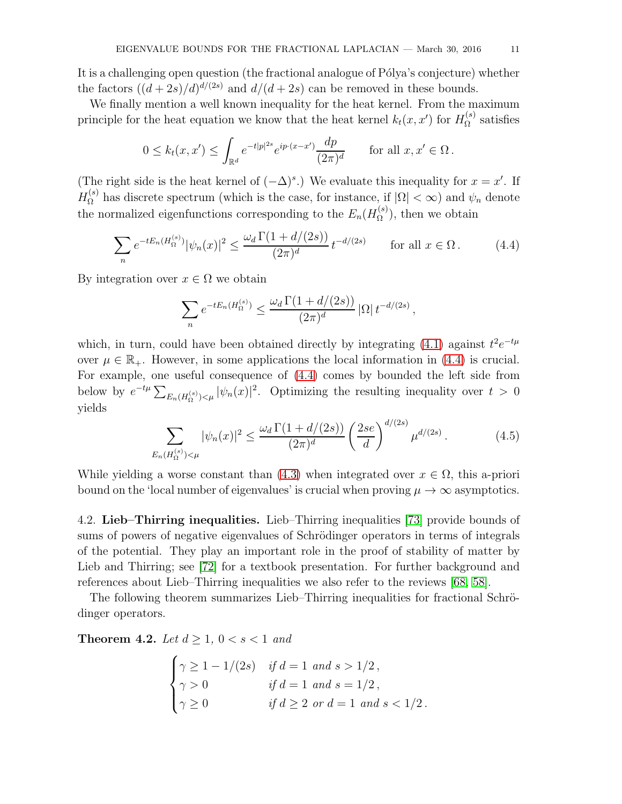It is a challenging open question (the fractional analogue of Pólya's conjecture) whether the factors  $((d+2s)/d)^{d/(2s)}$  and  $d/(d+2s)$  can be removed in these bounds.

We finally mention a well known inequality for the heat kernel. From the maximum principle for the heat equation we know that the heat kernel  $k_t(x, x')$  for  $H_{\Omega}^{(s)}$  $\Omega^{(s)}$  satisfies

$$
0 \le k_t(x, x') \le \int_{\mathbb{R}^d} e^{-t|p|^{2s}} e^{ip \cdot (x-x')} \frac{dp}{(2\pi)^d} \quad \text{for all } x, x' \in \Omega.
$$

(The right side is the heat kernel of  $(-\Delta)^s$ .) We evaluate this inequality for  $x = x'$ . If  $H_{\Omega}^{(s)}$  has discrete spectrum (which is the case, for instance, if  $|\Omega| < \infty$ ) and  $\psi_n$  denote the normalized eigenfunctions corresponding to the  $E_n(H_{\Omega}^{(s)})$  $\Omega^{(s)}$ , then we obtain

<span id="page-10-1"></span>
$$
\sum_{n} e^{-tE_n(H_{\Omega}^{(s)})} |\psi_n(x)|^2 \le \frac{\omega_d \Gamma(1 + d/(2s))}{(2\pi)^d} t^{-d/(2s)} \qquad \text{for all } x \in \Omega. \tag{4.4}
$$

By integration over  $x \in \Omega$  we obtain

$$
\sum_{n} e^{-tE_n(H_{\Omega}^{(s)})} \le \frac{\omega_d \Gamma(1 + d/(2s))}{(2\pi)^d} |\Omega| t^{-d/(2s)},
$$

which, in turn, could have been obtained directly by integrating [\(4.1\)](#page-9-1) against  $t^2e^{-t\mu}$ over  $\mu \in \mathbb{R}_+$ . However, in some applications the local information in [\(4.4\)](#page-10-1) is crucial. For example, one useful consequence of [\(4.4\)](#page-10-1) comes by bounded the left side from below by  $e^{-t\mu} \sum_{E_n(H_{\Omega}^{(s)}) \leq \mu} |\psi_n(x)|^2$ . Optimizing the resulting inequality over  $t > 0$ yields

$$
\sum_{E_n(H_{\Omega}^{(s)}) < \mu} |\psi_n(x)|^2 \le \frac{\omega_d \Gamma(1 + d/(2s))}{(2\pi)^d} \left(\frac{2se}{d}\right)^{d/(2s)} \mu^{d/(2s)}.\tag{4.5}
$$

While yielding a worse constant than [\(4.3\)](#page-9-3) when integrated over  $x \in \Omega$ , this a-priori bound on the 'local number of eigenvalues' is crucial when proving  $\mu \to \infty$  asymptotics.

4.2. Lieb–Thirring inequalities. Lieb–Thirring inequalities [\[73\]](#page-20-5) provide bounds of sums of powers of negative eigenvalues of Schrödinger operators in terms of integrals of the potential. They play an important role in the proof of stability of matter by Lieb and Thirring; see [\[72\]](#page-20-12) for a textbook presentation. For further background and references about Lieb–Thirring inequalities we also refer to the reviews [\[68,](#page-20-13) [58\]](#page-19-12).

The following theorem summarizes Lieb–Thirring inequalities for fractional Schrödinger operators.

<span id="page-10-0"></span>**Theorem 4.2.** Let  $d > 1$ ,  $0 < s < 1$  and

$$
\begin{cases}\n\gamma \ge 1 - 1/(2s) & \text{if } d = 1 \text{ and } s > 1/2, \\
\gamma > 0 & \text{if } d = 1 \text{ and } s = 1/2, \\
\gamma \ge 0 & \text{if } d \ge 2 \text{ or } d = 1 \text{ and } s < 1/2.\n\end{cases}
$$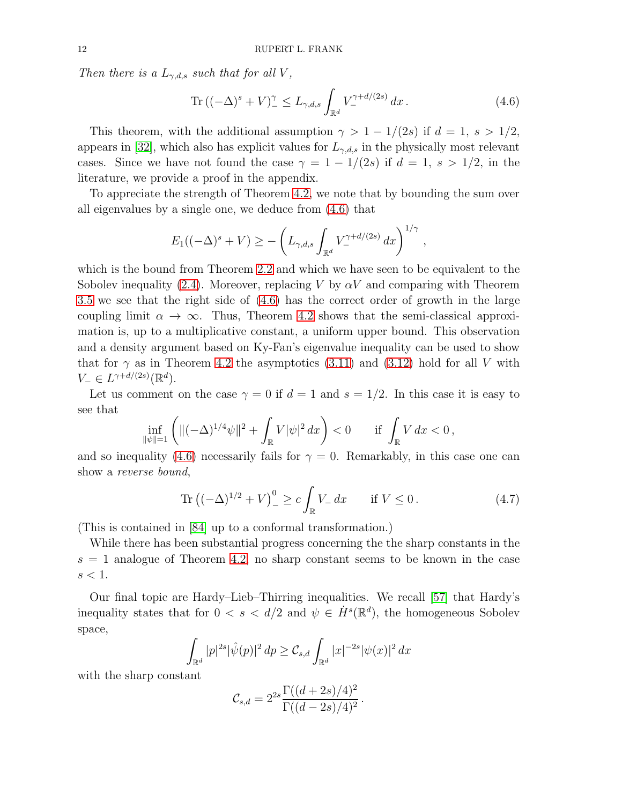Then there is a  $L_{\gamma,d,s}$  such that for all V,

<span id="page-11-0"></span>
$$
\operatorname{Tr}\left((-\Delta)^{s}+V\right)^{\gamma}_{-} \le L_{\gamma,d,s} \int_{\mathbb{R}^d} V_{-}^{\gamma+d/(2s)} dx.
$$
 (4.6)

This theorem, with the additional assumption  $\gamma > 1 - 1/(2s)$  if  $d = 1$ ,  $s > 1/2$ , appears in [\[32\]](#page-18-1), which also has explicit values for  $L_{\gamma,d,s}$  in the physically most relevant cases. Since we have not found the case  $\gamma = 1 - 1/(2s)$  if  $d = 1$ ,  $s > 1/2$ , in the literature, we provide a proof in the appendix.

To appreciate the strength of Theorem [4.2,](#page-10-0) we note that by bounding the sum over all eigenvalues by a single one, we deduce from [\(4.6\)](#page-11-0) that

$$
E_1((-\Delta)^s + V) \ge -\left(L_{\gamma,d,s}\int_{\mathbb{R}^d} V_{-}^{\gamma+d/(2s)} dx\right)^{1/\gamma},
$$

which is the bound from Theorem [2.2](#page-3-0) and which we have seen to be equivalent to the Sobolev inequality [\(2.4\)](#page-4-0). Moreover, replacing V by  $\alpha V$  and comparing with Theorem [3.5](#page-8-4) we see that the right side of [\(4.6\)](#page-11-0) has the correct order of growth in the large coupling limit  $\alpha \to \infty$ . Thus, Theorem [4.2](#page-10-0) shows that the semi-classical approximation is, up to a multiplicative constant, a uniform upper bound. This observation and a density argument based on Ky-Fan's eigenvalue inequality can be used to show that for  $\gamma$  as in Theorem [4.2](#page-10-0) the asymptotics [\(3.11\)](#page-8-2) and [\(3.12\)](#page-8-3) hold for all V with  $V_-\in L^{\gamma+d/(2s)}(\mathbb{R}^d).$ 

Let us comment on the case  $\gamma = 0$  if  $d = 1$  and  $s = 1/2$ . In this case it is easy to see that

$$
\inf_{\|\psi\|=1} \left( \|(-\Delta)^{1/4}\psi\|^2 + \int_{\mathbb{R}} V|\psi|^2 \, dx \right) < 0 \qquad \text{if } \int_{\mathbb{R}} V \, dx < 0 \,,
$$

and so inequality [\(4.6\)](#page-11-0) necessarily fails for  $\gamma = 0$ . Remarkably, in this case one can show a reverse bound,

<span id="page-11-1"></span>Tr 
$$
((-\Delta)^{1/2} + V)^0_{-} \ge c \int_{\mathbb{R}} V_{-} dx
$$
 if  $V \le 0$ . (4.7)

(This is contained in [\[84\]](#page-20-14) up to a conformal transformation.)

While there has been substantial progress concerning the the sharp constants in the  $s = 1$  analogue of Theorem [4.2,](#page-10-0) no sharp constant seems to be known in the case  $s < 1$ .

Our final topic are Hardy–Lieb–Thirring inequalities. We recall [\[57\]](#page-19-0) that Hardy's inequality states that for  $0 < s < d/2$  and  $\psi \in \dot{H}^s(\mathbb{R}^d)$ , the homogeneous Sobolev space,

$$
\int_{\mathbb{R}^d} |p|^{2s} |\hat{\psi}(p)|^2 \, dp \geq \mathcal{C}_{s,d} \int_{\mathbb{R}^d} |x|^{-2s} |\psi(x)|^2 \, dx
$$

with the sharp constant

$$
C_{s,d} = 2^{2s} \frac{\Gamma((d+2s)/4)^2}{\Gamma((d-2s)/4)^2}.
$$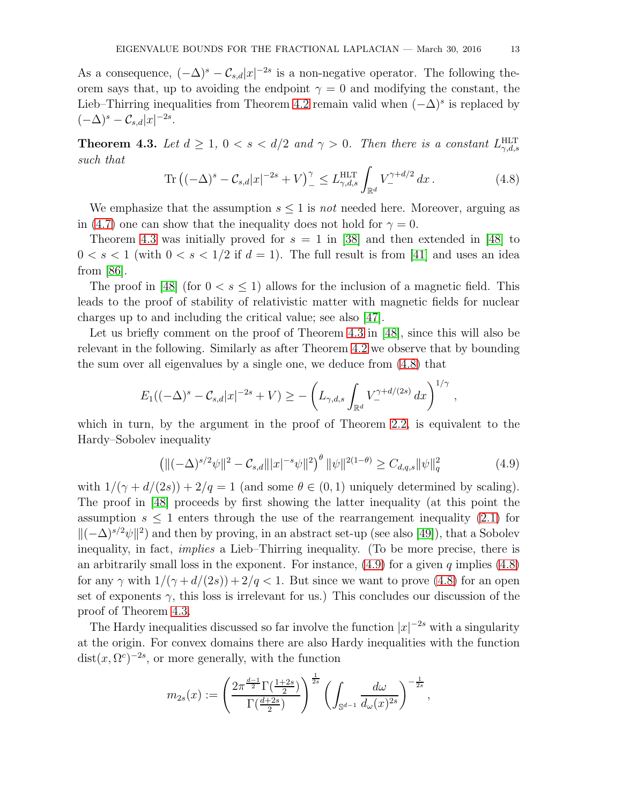As a consequence,  $(-\Delta)^s - C_{s,d}|x|^{-2s}$  is a non-negative operator. The following theorem says that, up to avoiding the endpoint  $\gamma = 0$  and modifying the constant, the Lieb–Thirring inequalities from Theorem [4.2](#page-10-0) remain valid when  $(-\Delta)^s$  is replaced by  $(-\Delta)^s - \mathcal{C}_{s,d}|x|^{-2s}.$ 

<span id="page-12-0"></span>**Theorem 4.3.** Let  $d \geq 1$ ,  $0 < s < d/2$  and  $\gamma > 0$ . Then there is a constant  $L_{\gamma,d,s}^{\text{HLT}}$ such that

<span id="page-12-1"></span>
$$
\text{Tr}\left((-\Delta)^s - C_{s,d}|x|^{-2s} + V\right)^{\gamma}_{-} \le L_{\gamma,d,s}^{\text{HLT}} \int_{\mathbb{R}^d} V_{-}^{\gamma + d/2} dx \,. \tag{4.8}
$$

We emphasize that the assumption  $s \leq 1$  is not needed here. Moreover, arguing as in [\(4.7\)](#page-11-1) one can show that the inequality does not hold for  $\gamma = 0$ .

Theorem [4.3](#page-12-0) was initially proved for  $s = 1$  in [\[38\]](#page-18-14) and then extended in [\[48\]](#page-19-13) to  $0 < s < 1$  (with  $0 < s < 1/2$  if  $d = 1$ ). The full result is from [\[41\]](#page-18-15) and uses an idea from [\[86\]](#page-20-9).

The proof in [\[48\]](#page-19-13) (for  $0 < s \leq 1$ ) allows for the inclusion of a magnetic field. This leads to the proof of stability of relativistic matter with magnetic fields for nuclear charges up to and including the critical value; see also [\[47\]](#page-19-14).

Let us briefly comment on the proof of Theorem [4.3](#page-12-0) in [\[48\]](#page-19-13), since this will also be relevant in the following. Similarly as after Theorem [4.2](#page-10-0) we observe that by bounding the sum over all eigenvalues by a single one, we deduce from [\(4.8\)](#page-12-1) that

$$
E_1((-\Delta)^s - C_{s,d}|x|^{-2s} + V) \ge -\left(L_{\gamma,d,s} \int_{\mathbb{R}^d} V_{-}^{\gamma + d/(2s)} dx\right)^{1/\gamma}
$$

which in turn, by the argument in the proof of Theorem [2.2,](#page-3-0) is equivalent to the Hardy–Sobolev inequality

<span id="page-12-2"></span>
$$
\left(\|(-\Delta)^{s/2}\psi\|^2 - \mathcal{C}_{s,d}\||x|^{-s}\psi\|^2\right)^{\theta} \|\psi\|^{2(1-\theta)} \ge C_{d,q,s} \|\psi\|^2_q \tag{4.9}
$$

,

with  $1/(\gamma + d/(2s)) + 2/q = 1$  (and some  $\theta \in (0, 1)$  uniquely determined by scaling). The proof in [\[48\]](#page-19-13) proceeds by first showing the latter inequality (at this point the assumption  $s \leq 1$  enters through the use of the rearrangement inequality [\(2.1\)](#page-3-1) for  $\|(-\Delta)^{s/2}\psi\|^2$  and then by proving, in an abstract set-up (see also [\[49\]](#page-19-15)), that a Sobolev inequality, in fact, implies a Lieb–Thirring inequality. (To be more precise, there is an arbitrarily small loss in the exponent. For instance,  $(4.9)$  for a given q implies  $(4.8)$ for any  $\gamma$  with  $1/(\gamma + d/(2s)) + 2/q < 1$ . But since we want to prove [\(4.8\)](#page-12-1) for an open set of exponents  $\gamma$ , this loss is irrelevant for us.) This concludes our discussion of the proof of Theorem [4.3.](#page-12-0)

The Hardy inequalities discussed so far involve the function  $|x|^{-2s}$  with a singularity at the origin. For convex domains there are also Hardy inequalities with the function  $dist(x, \Omega^c)^{-2s}$ , or more generally, with the function

$$
m_{2s}(x) := \left(\frac{2\pi^{\frac{d-1}{2}}\Gamma(\frac{1+2s}{2})}{\Gamma(\frac{d+2s}{2})}\right)^{\frac{1}{2s}} \left(\int_{\mathbb{S}^{d-1}} \frac{d\omega}{d\omega(x)^{2s}}\right)^{-\frac{1}{2s}},
$$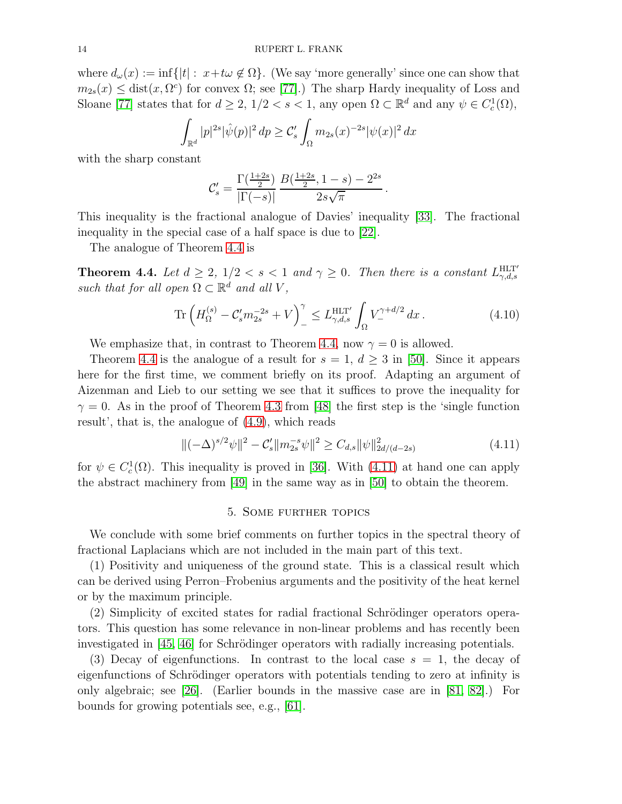where  $d_{\omega}(x) := \inf\{|t| : x + t\omega \notin \Omega\}$ . (We say 'more generally' since one can show that  $m_{2s}(x) \leq \text{dist}(x, \Omega^c)$  for convex  $\Omega$ ; see [\[77\]](#page-20-15).) The sharp Hardy inequality of Loss and Sloane [\[77\]](#page-20-15) states that for  $d \geq 2$ ,  $1/2 < s < 1$ , any open  $\Omega \subset \mathbb{R}^d$  and any  $\psi \in C_c^1(\Omega)$ ,

$$
\int_{\mathbb{R}^d} |p|^{2s} |\hat{\psi}(p)|^2 \, dp \geq C_s' \int_{\Omega} m_{2s}(x)^{-2s} |\psi(x)|^2 \, dx
$$

with the sharp constant

$$
\mathcal{C}'_s = \frac{\Gamma(\frac{1+2s}{2})}{|\Gamma(-s)|} \frac{B(\frac{1+2s}{2}, 1-s) - 2^{2s}}{2s\sqrt{\pi}}
$$

This inequality is the fractional analogue of Davies' inequality [\[33\]](#page-18-16). The fractional inequality in the special case of a half space is due to [\[22\]](#page-17-14).

The analogue of Theorem [4.4](#page-13-1) is

<span id="page-13-1"></span>**Theorem 4.4.** Let  $d \geq 2$ ,  $1/2 < s < 1$  and  $\gamma \geq 0$ . Then there is a constant  $L_{\gamma,d,s}^{\text{HLT}}$ such that for all open  $\Omega \subset \mathbb{R}^d$  and all V,

$$
\text{Tr}\left(H_{\Omega}^{(s)} - \mathcal{C}'_{s} m_{2s}^{-2s} + V\right)_{-}^{\gamma} \le L_{\gamma,d,s}^{\text{HLT}'} \int_{\Omega} V_{-}^{\gamma + d/2} dx \,. \tag{4.10}
$$

.

We emphasize that, in contrast to Theorem [4.4,](#page-13-1) now  $\gamma = 0$  is allowed.

Theorem [4.4](#page-13-1) is the analogue of a result for  $s = 1, d \geq 3$  in [\[50\]](#page-19-16). Since it appears here for the first time, we comment briefly on its proof. Adapting an argument of Aizenman and Lieb to our setting we see that it suffices to prove the inequality for  $\gamma = 0$ . As in the proof of Theorem [4.3](#page-12-0) from [\[48\]](#page-19-13) the first step is the 'single function result', that is, the analogue of [\(4.9\)](#page-12-2), which reads

<span id="page-13-2"></span>
$$
\|(-\Delta)^{s/2}\psi\|^2 - C'_s \|m_{2s}^{-s}\psi\|^2 \ge C_{d,s} \|\psi\|^2_{2d/(d-2s)}\tag{4.11}
$$

<span id="page-13-0"></span>for  $\psi \in C_c^1(\Omega)$ . This inequality is proved in [\[36\]](#page-18-17). With [\(4.11\)](#page-13-2) at hand one can apply the abstract machinery from [\[49\]](#page-19-15) in the same way as in [\[50\]](#page-19-16) to obtain the theorem.

### 5. Some further topics

We conclude with some brief comments on further topics in the spectral theory of fractional Laplacians which are not included in the main part of this text.

(1) Positivity and uniqueness of the ground state. This is a classical result which can be derived using Perron–Frobenius arguments and the positivity of the heat kernel or by the maximum principle.

(2) Simplicity of excited states for radial fractional Schrödinger operators operators. This question has some relevance in non-linear problems and has recently been investigated in  $[45, 46]$  $[45, 46]$  for Schrödinger operators with radially increasing potentials.

(3) Decay of eigenfunctions. In contrast to the local case  $s = 1$ , the decay of eigenfunctions of Schrödinger operators with potentials tending to zero at infinity is only algebraic; see [\[26\]](#page-18-0). (Earlier bounds in the massive case are in [\[81,](#page-20-16) [82\]](#page-20-17).) For bounds for growing potentials see, e.g., [\[61\]](#page-19-17).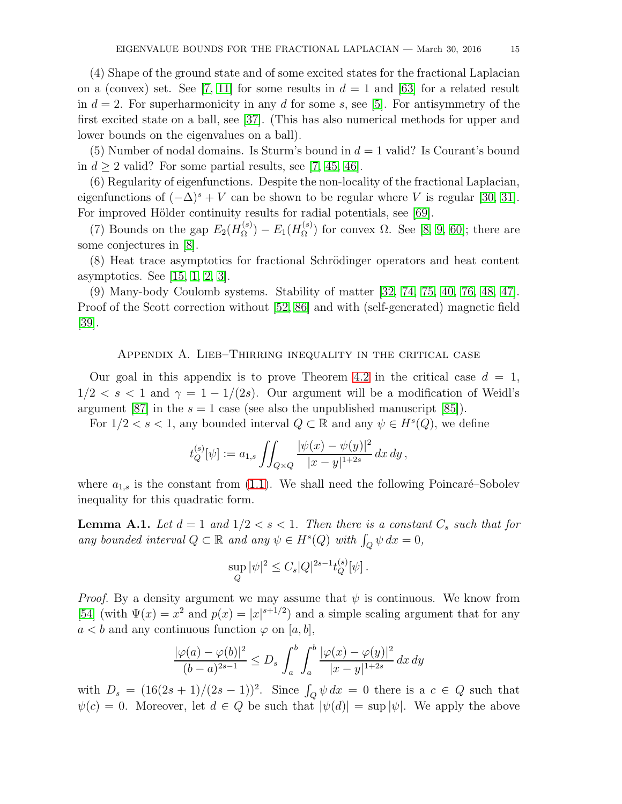(4) Shape of the ground state and of some excited states for the fractional Laplacian on a (convex) set. See [\[7,](#page-17-5) [11\]](#page-17-15) for some results in  $d = 1$  and [\[63\]](#page-19-18) for a related result in  $d = 2$ . For superharmonicity in any d for some s, see [\[5\]](#page-17-16). For antisymmetry of the first excited state on a ball, see [\[37\]](#page-18-18). (This has also numerical methods for upper and lower bounds on the eigenvalues on a ball).

(5) Number of nodal domains. Is Sturm's bound in  $d = 1$  valid? Is Courant's bound in  $d \geq 2$  valid? For some partial results, see [\[7,](#page-17-5) [45,](#page-18-6) [46\]](#page-19-4).

(6) Regularity of eigenfunctions. Despite the non-locality of the fractional Laplacian, eigenfunctions of  $(-\Delta)^s + V$  can be shown to be regular where V is regular [\[30,](#page-18-19) [31\]](#page-18-20). For improved Hölder continuity results for radial potentials, see [\[69\]](#page-20-18).

(7) Bounds on the gap  $E_2(H_{\Omega}^{(s)})$  $E_{\Omega}^{(s)}$ ) –  $E_{1}(H_{\Omega}^{(s)})$  $\Omega_{\Omega}^{(s)}$  for convex  $\Omega$ . See [\[8,](#page-17-17) [9,](#page-17-18) [60\]](#page-19-19); there are some conjectures in [\[8\]](#page-17-17).

(8) Heat trace asymptotics for fractional Schrödinger operators and heat content asymptotics. See [\[15,](#page-17-19) [1,](#page-17-20) [2,](#page-17-21) [3\]](#page-17-22).

(9) Many-body Coulomb systems. Stability of matter [\[32,](#page-18-1) [74,](#page-20-0) [75,](#page-20-1) [40,](#page-18-2) [76,](#page-20-2) [48,](#page-19-13) [47\]](#page-19-14). Proof of the Scott correction without [\[52,](#page-19-20) [86\]](#page-20-9) and with (self-generated) magnetic field [\[39\]](#page-18-21).

Appendix A. Lieb–Thirring inequality in the critical case

Our goal in this appendix is to prove Theorem [4.2](#page-10-0) in the critical case  $d = 1$ ,  $1/2 < s < 1$  and  $\gamma = 1 - 1/(2s)$ . Our argument will be a modification of Weidl's argument [\[87\]](#page-20-19) in the  $s = 1$  case (see also the unpublished manuscript [\[85\]](#page-20-20)).

For  $1/2 < s < 1$ , any bounded interval  $Q \subset \mathbb{R}$  and any  $\psi \in H^s(Q)$ , we define

$$
t_Q^{(s)}[\psi] := a_{1,s} \iint_{Q \times Q} \frac{|\psi(x) - \psi(y)|^2}{|x - y|^{1 + 2s}} dx dy,
$$

where  $a_{1,s}$  is the constant from [\(1.1\)](#page-1-0). We shall need the following Poincaré–Sobolev inequality for this quadratic form.

<span id="page-14-0"></span>**Lemma A.1.** Let  $d = 1$  and  $1/2 < s < 1$ . Then there is a constant  $C_s$  such that for any bounded interval  $Q \subset \mathbb{R}$  and any  $\psi \in H^s(Q)$  with  $\int_Q \psi \, dx = 0$ ,

$$
\sup_{Q} |\psi|^2 \leq C_s |Q|^{2s-1} t_Q^{(s)}[\psi].
$$

*Proof.* By a density argument we may assume that  $\psi$  is continuous. We know from [\[54\]](#page-19-21) (with  $\Psi(x) = x^2$  and  $p(x) = |x|^{s+1/2}$ ) and a simple scaling argument that for any  $a < b$  and any continuous function  $\varphi$  on [a, b],

$$
\frac{|\varphi(a) - \varphi(b)|^2}{(b-a)^{2s-1}} \le D_s \int_a^b \int_a^b \frac{|\varphi(x) - \varphi(y)|^2}{|x-y|^{1+2s}} dx dy
$$

with  $D_s = (16(2s+1)/(2s-1))^2$ . Since  $\int_Q \psi \, dx = 0$  there is a  $c \in Q$  such that  $\psi(c) = 0$ . Moreover, let  $d \in Q$  be such that  $|\psi(d)| = \sup |\psi|$ . We apply the above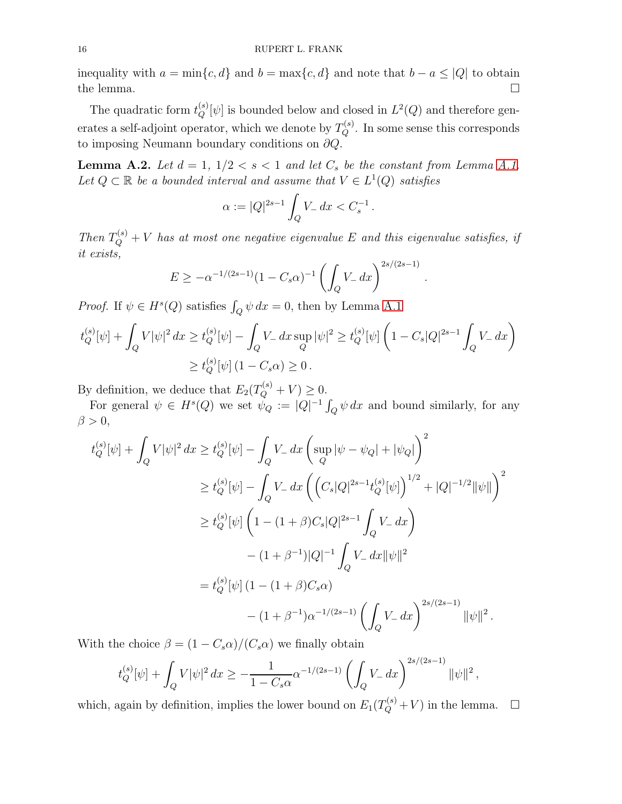inequality with  $a = \min\{c, d\}$  and  $b = \max\{c, d\}$  and note that  $b - a \leq |Q|$  to obtain the lemma. the lemma.  $\square$ 

The quadratic form  $t_Q^{(s)}[\psi]$  is bounded below and closed in  $L^2(Q)$  and therefore generates a self-adjoint operator, which we denote by  $T_Q^{(s)}$ . In some sense this corresponds to imposing Neumann boundary conditions on  $\partial Q$ .

<span id="page-15-0"></span>**Lemma A.2.** Let  $d = 1$ ,  $1/2 < s < 1$  and let  $C_s$  be the constant from Lemma [A.1.](#page-14-0) Let  $Q \subset \mathbb{R}$  be a bounded interval and assume that  $V \in L^1(Q)$  satisfies

$$
\alpha := |Q|^{2s-1} \int_Q V_- \, dx < C_s^{-1} \, .
$$

Then  $T_Q^{(s)} + V$  has at most one negative eigenvalue E and this eigenvalue satisfies, if it exists,

$$
E \ge -\alpha^{-1/(2s-1)}(1 - C_s \alpha)^{-1} \left( \int_Q V_- \, dx \right)^{2s/(2s-1)}
$$

.

*Proof.* If  $\psi \in H^s(Q)$  satisfies  $\int_Q \psi \, dx = 0$ , then by Lemma [A.1](#page-14-0)

$$
t_Q^{(s)}[\psi] + \int_Q V |\psi|^2 dx \ge t_Q^{(s)}[\psi] - \int_Q V_- dx \sup_Q |\psi|^2 \ge t_Q^{(s)}[\psi] \left( 1 - C_s |Q|^{2s-1} \int_Q V_- dx \right)
$$
  
 
$$
\ge t_Q^{(s)}[\psi] \left( 1 - C_s \alpha \right) \ge 0.
$$

By definition, we deduce that  $E_2(T_Q^{(s)} + V) \geq 0$ .

For general  $\psi \in H^s(Q)$  we set  $\psi_Q := |Q|^{-1} \int_Q \psi \, dx$  and bound similarly, for any  $\beta > 0$ ,

$$
t_Q^{(s)}[\psi] + \int_Q V|\psi|^2 dx \ge t_Q^{(s)}[\psi] - \int_Q V_- dx \left( \sup_Q |\psi - \psi_Q| + |\psi_Q| \right)^2
$$
  
\n
$$
\ge t_Q^{(s)}[\psi] - \int_Q V_- dx \left( \left( C_s|Q|^{2s-1} t_Q^{(s)}[\psi] \right)^{1/2} + |Q|^{-1/2} ||\psi|| \right)^2
$$
  
\n
$$
\ge t_Q^{(s)}[\psi] \left( 1 - (1+\beta)C_s|Q|^{2s-1} \int_Q V_- dx \right)
$$
  
\n
$$
- (1+\beta^{-1})|Q|^{-1} \int_Q V_- dx ||\psi||^2
$$
  
\n
$$
= t_Q^{(s)}[\psi] (1 - (1+\beta)C_s\alpha)
$$
  
\n
$$
- (1+\beta^{-1})\alpha^{-1/(2s-1)} \left( \int_Q V_- dx \right)^{2s/(2s-1)} ||\psi||^2.
$$

With the choice  $\beta = (1 - C_s \alpha)/(C_s \alpha)$  we finally obtain

$$
t_Q^{(s)}[\psi] + \int_Q V|\psi|^2 dx \ge -\frac{1}{1 - C_s \alpha} \alpha^{-1/(2s-1)} \left( \int_Q V_- dx \right)^{2s/(2s-1)} \|\psi\|^2,
$$

which, again by definition, implies the lower bound on  $E_1(T_Q^{(s)} + V)$  in the lemma.  $\Box$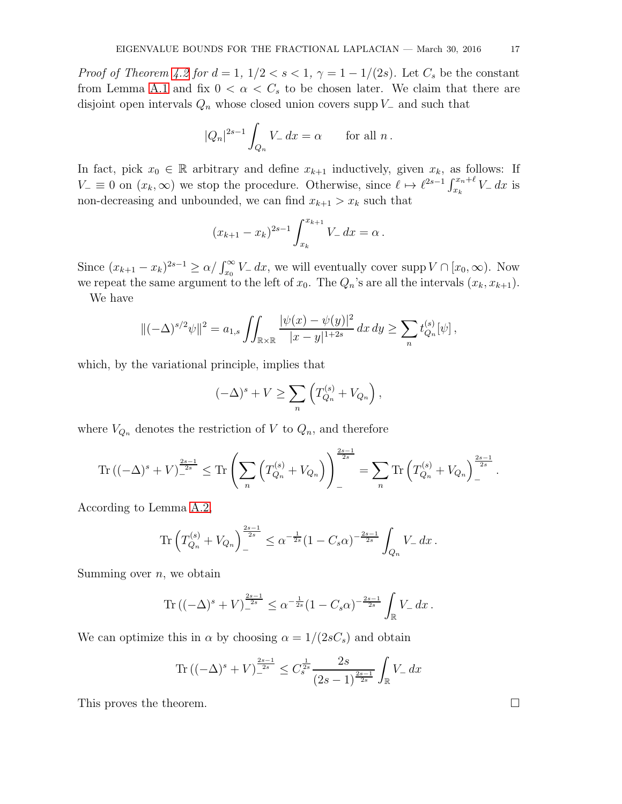*Proof of Theorem [4.2](#page-10-0) for d* = 1,  $1/2 < s < 1$ ,  $\gamma = 1 - 1/(2s)$ . Let  $C_s$  be the constant from Lemma [A.1](#page-14-0) and fix  $0 < \alpha < C_s$  to be chosen later. We claim that there are disjoint open intervals  $Q_n$  whose closed union covers supp  $V_-\$  and such that

$$
|Q_n|^{2s-1} \int_{Q_n} V_- \, dx = \alpha \qquad \text{for all } n \, .
$$

In fact, pick  $x_0 \in \mathbb{R}$  arbitrary and define  $x_{k+1}$  inductively, given  $x_k$ , as follows: If  $V_-\equiv 0$  on  $(x_k,\infty)$  we stop the procedure. Otherwise, since  $\ell \mapsto \ell^{2s-1} \int_{x_k}^{x_n+\ell} V_- dx$  is non-decreasing and unbounded, we can find  $x_{k+1} > x_k$  such that

$$
(x_{k+1} - x_k)^{2s-1} \int_{x_k}^{x_{k+1}} V_{-} dx = \alpha.
$$

Since  $(x_{k+1} - x_k)^{2s-1} \ge \alpha / \int_{x_0}^{\infty} V_- dx$ , we will eventually cover supp  $V \cap [x_0, \infty)$ . Now we repeat the same argument to the left of  $x_0$ . The  $Q_n$ 's are all the intervals  $(x_k, x_{k+1})$ .

We have

$$
\|(-\Delta)^{s/2}\psi\|^2 = a_{1,s} \iint_{\mathbb{R}\times\mathbb{R}} \frac{|\psi(x) - \psi(y)|^2}{|x - y|^{1+2s}} dx dy \ge \sum_n t_{Q_n}^{(s)}[\psi],
$$

which, by the variational principle, implies that

$$
(-\Delta)^s + V \ge \sum_n \left( T_{Q_n}^{(s)} + V_{Q_n} \right),
$$

where  $V_{Q_n}$  denotes the restriction of V to  $Q_n$ , and therefore

$$
\mathrm{Tr} \left( (-\Delta)^s + V \right)^{\frac{2s-1}{2s}} \leq \mathrm{Tr} \left( \sum_n \left( T_{Q_n}^{(s)} + V_{Q_n} \right) \right)^{\frac{2s-1}{2s}} = \sum_n \mathrm{Tr} \left( T_{Q_n}^{(s)} + V_{Q_n} \right)^{\frac{2s-1}{2s}}.
$$

According to Lemma [A.2,](#page-15-0)

$$
\text{Tr}\left(T_{Q_n}^{(s)}+V_{Q_n}\right)_-^{\frac{2s-1}{2s}} \leq \alpha^{-\frac{1}{2s}}(1-C_s\alpha)^{-\frac{2s-1}{2s}}\int_{Q_n} V_- \,dx\,.
$$

Summing over  $n$ , we obtain

Tr 
$$
((-\Delta)^s + V)^{\frac{2s-1}{2s}} \le \alpha^{-\frac{1}{2s}} (1 - C_s \alpha)^{-\frac{2s-1}{2s}} \int_{\mathbb{R}} V_- dx
$$
.

We can optimize this in  $\alpha$  by choosing  $\alpha = 1/(2sC_s)$  and obtain

$$
\operatorname{Tr}\left((-\Delta)^s + V\right)_-^{\frac{2s-1}{2s}} \le C_s^{\frac{1}{2s}} \frac{2s}{(2s-1)^{\frac{2s-1}{2s}}} \int_{\mathbb{R}} V_- \, dx
$$

This proves the theorem.  $\Box$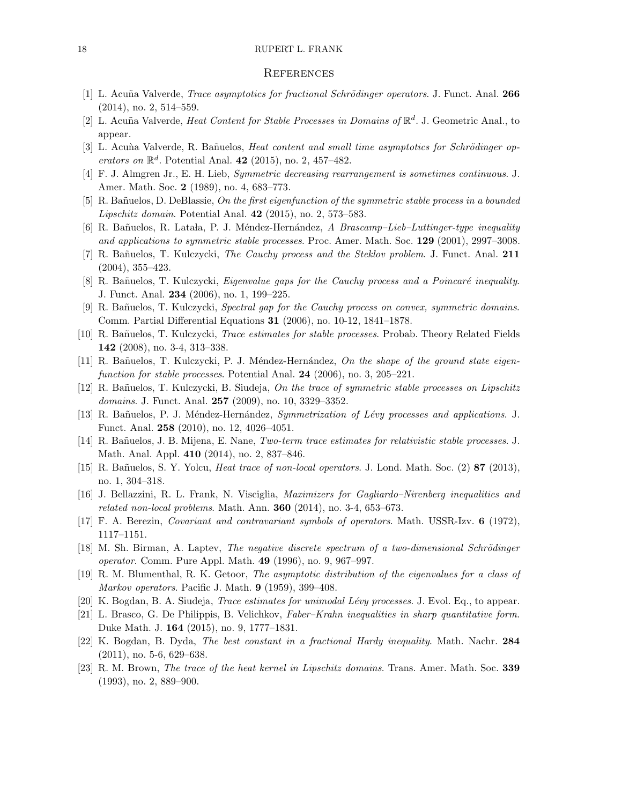#### 18 RUPERT L. FRANK

#### **REFERENCES**

- <span id="page-17-21"></span><span id="page-17-20"></span>[1] L. Acuña Valverde, *Trace asymptotics for fractional Schrödinger operators*. J. Funct. Anal. 266 (2014), no. 2, 514–559.
- <span id="page-17-22"></span>[2] L. Acuña Valverde, *Heat Content for Stable Processes in Domains of*  $\mathbb{R}^d$ . J. Geometric Anal., to appear.
- <span id="page-17-0"></span>[3] L. Acuma Valverde, R. Bañuelos, Heat content and small time asymptotics for Schrödinger operators on  $\mathbb{R}^d$ . Potential Anal. 42 (2015), no. 2, 457-482.
- <span id="page-17-16"></span>[4] F. J. Almgren Jr., E. H. Lieb, Symmetric decreasing rearrangement is sometimes continuous. J. Amer. Math. Soc. 2 (1989), no. 4, 683–773.
- <span id="page-17-3"></span>[5] R. Bañuelos, D. DeBlassie, On the first eigenfunction of the symmetric stable process in a bounded Lipschitz domain. Potential Anal. 42 (2015), no. 2, 573–583.
- <span id="page-17-5"></span>[6] R. Bañuelos, R. Latala, P. J. Méndez-Hernández, A Brascamp–Lieb–Luttinger-type inequality and applications to symmetric stable processes. Proc. Amer. Math. Soc. 129 (2001), 2997–3008.
- <span id="page-17-17"></span>[7] R. Ba˜nuelos, T. Kulczycki, The Cauchy process and the Steklov problem. J. Funct. Anal. 211 (2004), 355–423.
- <span id="page-17-18"></span>[8] R. Bañuelos, T. Kulczycki, *Eigenvalue gaps for the Cauchy process and a Poincaré inequality*. J. Funct. Anal. 234 (2006), no. 1, 199–225.
- [9] R. Bañuelos, T. Kulczycki, Spectral gap for the Cauchy process on convex, symmetric domains. Comm. Partial Differential Equations 31 (2006), no. 10-12, 1841–1878.
- <span id="page-17-15"></span><span id="page-17-7"></span>[10] R. Bañuelos, T. Kulczycki, *Trace estimates for stable processes*. Probab. Theory Related Fields 142 (2008), no. 3-4, 313–338.
- <span id="page-17-8"></span>[11] R. Bañuelos, T. Kulczycki, P. J. Méndez-Hernández, On the shape of the ground state eigenfunction for stable processes. Potential Anal. 24 (2006), no. 3, 205–221.
- [12] R. Bañuelos, T. Kulczycki, B. Siudeja, On the trace of symmetric stable processes on Lipschitz domains. J. Funct. Anal. **257** (2009), no. 10, 3329-3352.
- <span id="page-17-1"></span>[13] R. Bañuelos, P. J. Méndez-Hernández, Symmetrization of Lévy processes and applications. J. Funct. Anal. 258 (2010), no. 12, 4026–4051.
- <span id="page-17-19"></span><span id="page-17-10"></span>[14] R. Bañuelos, J. B. Mijena, E. Nane, Two-term trace estimates for relativistic stable processes. J. Math. Anal. Appl. 410 (2014), no. 2, 837–846.
- <span id="page-17-4"></span>[15] R. Bañuelos, S. Y. Yolcu, *Heat trace of non-local operators*. J. Lond. Math. Soc. (2) 87 (2013), no. 1, 304–318.
- <span id="page-17-13"></span>[16] J. Bellazzini, R. L. Frank, N. Visciglia, Maximizers for Gagliardo–Nirenberg inequalities and related non-local problems. Math. Ann. 360 (2014), no. 3-4, 653–673.
- <span id="page-17-12"></span>[17] F. A. Berezin, Covariant and contravariant symbols of operators. Math. USSR-Izv. 6 (1972), 1117–1151.
- [18] M. Sh. Birman, A. Laptev, The negative discrete spectrum of a two-dimensional Schrödinger operator. Comm. Pure Appl. Math. 49 (1996), no. 9, 967–997.
- <span id="page-17-11"></span><span id="page-17-6"></span>[19] R. M. Blumenthal, R. K. Getoor, The asymptotic distribution of the eigenvalues for a class of Markov operators. Pacific J. Math. 9 (1959), 399–408.
- <span id="page-17-2"></span>[20] K. Bogdan, B. A. Siudeja, *Trace estimates for unimodal Lévy processes*. J. Evol. Eq., to appear.
- [21] L. Brasco, G. De Philippis, B. Velichkov, Faber–Krahn inequalities in sharp quantitative form. Duke Math. J. 164 (2015), no. 9, 1777–1831.
- <span id="page-17-14"></span>[22] K. Bogdan, B. Dyda, The best constant in a fractional Hardy inequality. Math. Nachr. 284 (2011), no. 5-6, 629–638.
- <span id="page-17-9"></span>[23] R. M. Brown, The trace of the heat kernel in Lipschitz domains. Trans. Amer. Math. Soc. 339 (1993), no. 2, 889–900.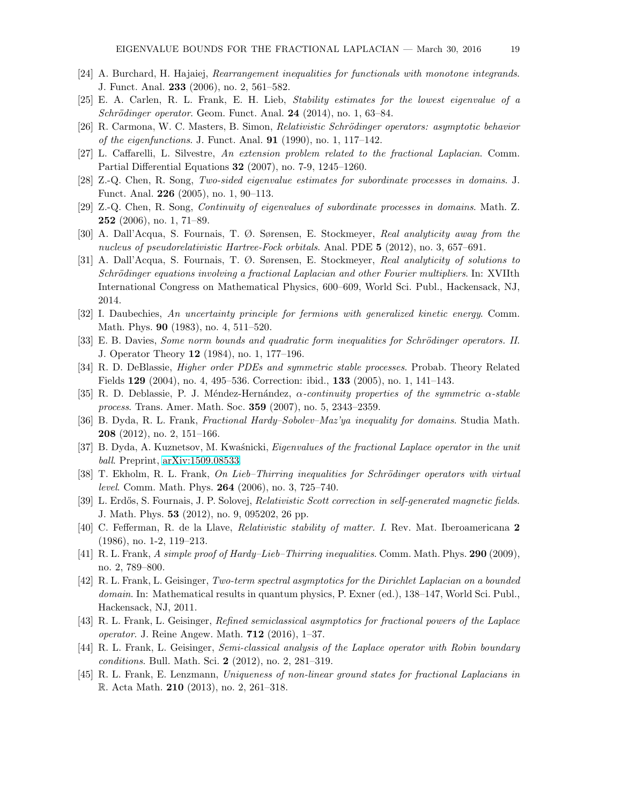- <span id="page-18-5"></span><span id="page-18-4"></span>[24] A. Burchard, H. Hajaiej, Rearrangement inequalities for functionals with monotone integrands. J. Funct. Anal. 233 (2006), no. 2, 561–582.
- <span id="page-18-0"></span>[25] E. A. Carlen, R. L. Frank, E. H. Lieb, Stability estimates for the lowest eigenvalue of a  $Schrödinger operator. Geom. Funct. Anal. 24 (2014), no. 1, 63–84.$
- <span id="page-18-11"></span>[26] R. Carmona, W. C. Masters, B. Simon, *Relativistic Schrödinger operators: asymptotic behavior* of the eigenfunctions. J. Funct. Anal. 91 (1990), no. 1, 117–142.
- <span id="page-18-3"></span>[27] L. Caffarelli, L. Silvestre, An extension problem related to the fractional Laplacian. Comm. Partial Differential Equations 32 (2007), no. 7-9, 1245–1260.
- <span id="page-18-8"></span>[28] Z.-Q. Chen, R. Song, Two-sided eigenvalue estimates for subordinate processes in domains. J. Funct. Anal. 226 (2005), no. 1, 90–113.
- <span id="page-18-19"></span>[29] Z.-Q. Chen, R. Song, Continuity of eigenvalues of subordinate processes in domains. Math. Z. 252 (2006), no. 1, 71–89.
- <span id="page-18-20"></span>[30] A. Dall'Acqua, S. Fournais, T. Ø. Sørensen, E. Stockmeyer, Real analyticity away from the nucleus of pseudorelativistic Hartree-Fock orbitals. Anal. PDE 5 (2012), no. 3, 657–691.
- [31] A. Dall'Acqua, S. Fournais, T. Ø. Sørensen, E. Stockmeyer, Real analyticity of solutions to Schrödinger equations involving a fractional Laplacian and other Fourier multipliers. In: XVIIth International Congress on Mathematical Physics, 600–609, World Sci. Publ., Hackensack, NJ, 2014.
- <span id="page-18-16"></span><span id="page-18-1"></span>[32] I. Daubechies, An uncertainty principle for fermions with generalized kinetic energy. Comm. Math. Phys. 90 (1983), no. 4, 511–520.
- <span id="page-18-9"></span>[33] E. B. Davies, Some norm bounds and quadratic form inequalities for Schrödinger operators. II. J. Operator Theory 12 (1984), no. 1, 177–196.
- <span id="page-18-7"></span>[34] R. D. DeBlassie, *Higher order PDEs and symmetric stable processes*. Probab. Theory Related Fields 129 (2004), no. 4, 495–536. Correction: ibid., 133 (2005), no. 1, 141–143.
- <span id="page-18-17"></span>[35] R. D. Deblassie, P. J. Méndez-Hernández,  $\alpha$ -continuity properties of the symmetric  $\alpha$ -stable process. Trans. Amer. Math. Soc. 359 (2007), no. 5, 2343–2359.
- <span id="page-18-18"></span>[36] B. Dyda, R. L. Frank, Fractional Hardy–Sobolev–Maz'ya inequality for domains. Studia Math. 208 (2012), no. 2, 151–166.
- <span id="page-18-14"></span>[37] B. Dyda, A. Kuznetsov, M. Kwaśnicki, *Eigenvalues of the fractional Laplace operator in the unit* ball. Preprint, [arXiv:1509.08533.](http://arxiv.org/abs/1509.08533)
- <span id="page-18-21"></span>[38] T. Ekholm, R. L. Frank, On Lieb–Thirring inequalities for Schrödinger operators with virtual level. Comm. Math. Phys. 264 (2006), no. 3, 725–740.
- <span id="page-18-2"></span>[39] L. Erdős, S. Fournais, J. P. Solovej, *Relativistic Scott correction in self-generated magnetic fields*. J. Math. Phys. 53 (2012), no. 9, 095202, 26 pp.
- <span id="page-18-15"></span>[40] C. Fefferman, R. de la Llave, Relativistic stability of matter. I. Rev. Mat. Iberoamericana 2 (1986), no. 1-2, 119–213.
- <span id="page-18-13"></span>[41] R. L. Frank, A simple proof of Hardy–Lieb–Thirring inequalities. Comm. Math. Phys. 290 (2009), no. 2, 789–800.
- [42] R. L. Frank, L. Geisinger, Two-term spectral asymptotics for the Dirichlet Laplacian on a bounded domain. In: Mathematical results in quantum physics, P. Exner (ed.), 138–147, World Sci. Publ., Hackensack, NJ, 2011.
- <span id="page-18-10"></span>[43] R. L. Frank, L. Geisinger, Refined semiclassical asymptotics for fractional powers of the Laplace operator. J. Reine Angew. Math. 712 (2016), 1–37.
- <span id="page-18-12"></span>[44] R. L. Frank, L. Geisinger, Semi-classical analysis of the Laplace operator with Robin boundary conditions. Bull. Math. Sci. 2 (2012), no. 2, 281–319.
- <span id="page-18-6"></span>[45] R. L. Frank, E. Lenzmann, Uniqueness of non-linear ground states for fractional Laplacians in R. Acta Math. 210 (2013), no. 2, 261–318.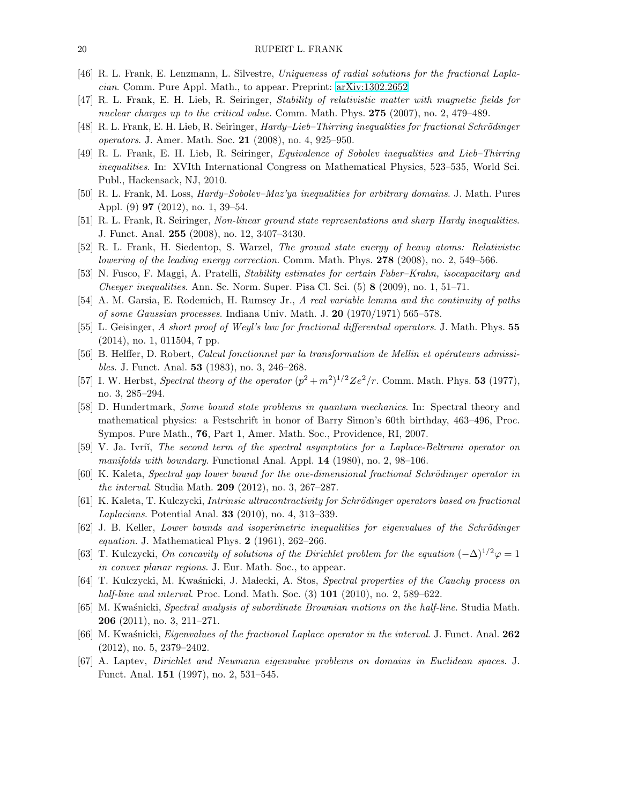- <span id="page-19-14"></span><span id="page-19-4"></span>[46] R. L. Frank, E. Lenzmann, L. Silvestre, Uniqueness of radial solutions for the fractional Laplacian. Comm. Pure Appl. Math., to appear. Preprint: [arXiv:1302.2652](http://arxiv.org/abs/1302.2652)
- <span id="page-19-13"></span>[47] R. L. Frank, E. H. Lieb, R. Seiringer, Stability of relativistic matter with magnetic fields for nuclear charges up to the critical value. Comm. Math. Phys. 275 (2007), no. 2, 479–489.
- <span id="page-19-15"></span>[48] R. L. Frank, E. H. Lieb, R. Seiringer, *Hardy–Lieb–Thirring inequalities for fractional Schrödinger* operators. J. Amer. Math. Soc. 21 (2008), no. 4, 925–950.
- [49] R. L. Frank, E. H. Lieb, R. Seiringer, Equivalence of Sobolev inequalities and Lieb–Thirring inequalities. In: XVIth International Congress on Mathematical Physics, 523–535, World Sci. Publ., Hackensack, NJ, 2010.
- <span id="page-19-16"></span><span id="page-19-1"></span>[50] R. L. Frank, M. Loss, Hardy–Sobolev–Maz'ya inequalities for arbitrary domains. J. Math. Pures Appl. (9) 97 (2012), no. 1, 39–54.
- <span id="page-19-20"></span>[51] R. L. Frank, R. Seiringer, Non-linear ground state representations and sharp Hardy inequalities. J. Funct. Anal. 255 (2008), no. 12, 3407–3430.
- <span id="page-19-2"></span>[52] R. L. Frank, H. Siedentop, S. Warzel, The ground state energy of heavy atoms: Relativistic lowering of the leading energy correction. Comm. Math. Phys. 278 (2008), no. 2, 549–566.
- <span id="page-19-21"></span>[53] N. Fusco, F. Maggi, A. Pratelli, Stability estimates for certain Faber–Krahn, isocapacitary and Cheeger inequalities. Ann. Sc. Norm. Super. Pisa Cl. Sci. (5) 8 (2009), no. 1, 51–71.
- <span id="page-19-5"></span>[54] A. M. Garsia, E. Rodemich, H. Rumsey Jr., A real variable lemma and the continuity of paths of some Gaussian processes. Indiana Univ. Math. J. 20 (1970/1971) 565–578.
- <span id="page-19-10"></span>[55] L. Geisinger, A short proof of Weyl's law for fractional differential operators. J. Math. Phys. 55 (2014), no. 1, 011504, 7 pp.
- [56] B. Helffer, D. Robert, Calcul fonctionnel par la transformation de Mellin et opérateurs admissibles. J. Funct. Anal. 53 (1983), no. 3, 246–268.
- <span id="page-19-0"></span>[57] I. W. Herbst, Spectral theory of the operator  $(p^2 + m^2)^{1/2}Ze^2/r$ . Comm. Math. Phys. 53 (1977), no. 3, 285–294.
- <span id="page-19-12"></span>[58] D. Hundertmark, Some bound state problems in quantum mechanics. In: Spectral theory and mathematical physics: a Festschrift in honor of Barry Simon's 60th birthday, 463–496, Proc. Sympos. Pure Math., 76, Part 1, Amer. Math. Soc., Providence, RI, 2007.
- <span id="page-19-9"></span>[59] V. Ja. Ivrii, The second term of the spectral asymptotics for a Laplace-Beltrami operator on manifolds with boundary. Functional Anal. Appl. 14 (1980), no. 2, 98–106.
- <span id="page-19-19"></span><span id="page-19-17"></span>[60] K. Kaleta, Spectral gap lower bound for the one-dimensional fractional Schrödinger operator in the interval. Studia Math. 209 (2012), no. 3, 267–287.
- <span id="page-19-3"></span>[61] K. Kaleta, T. Kulczycki, *Intrinsic ultracontractivity for Schrödinger operators based on fractional* Laplacians. Potential Anal. 33 (2010), no. 4, 313–339.
- [62] J. B. Keller, Lower bounds and isoperimetric inequalities for eigenvalues of the Schrödinger equation. J. Mathematical Phys.  $2$  (1961), 262–266.
- <span id="page-19-18"></span>[63] T. Kulczycki, On concavity of solutions of the Dirichlet problem for the equation  $(-\Delta)^{1/2}\varphi = 1$ in convex planar regions. J. Eur. Math. Soc., to appear.
- <span id="page-19-7"></span>[64] T. Kulczycki, M. Kwaśnicki, J. Małecki, A. Stos, Spectral properties of the Cauchy process on half-line and interval. Proc. Lond. Math. Soc.  $(3)$  101  $(2010)$ , no. 2, 589–622.
- <span id="page-19-8"></span>[65] M. Kwaśnicki, Spectral analysis of subordinate Brownian motions on the half-line. Studia Math. 206 (2011), no. 3, 211–271.
- <span id="page-19-6"></span>[66] M. Kwaśnicki, *Eigenvalues of the fractional Laplace operator in the interval.* J. Funct. Anal. 262 (2012), no. 5, 2379–2402.
- <span id="page-19-11"></span>[67] A. Laptev, Dirichlet and Neumann eigenvalue problems on domains in Euclidean spaces. J. Funct. Anal. 151 (1997), no. 2, 531–545.